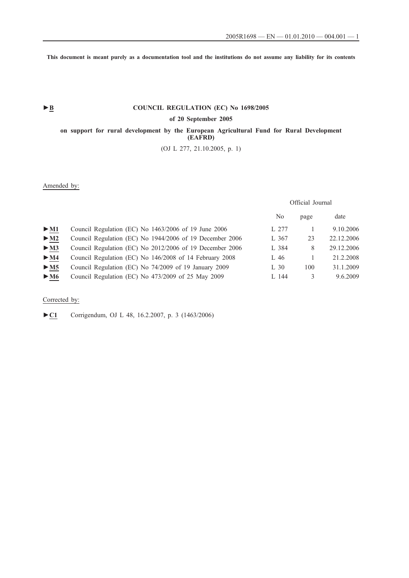**This document is meant purely as a documentation tool and the institutions do not assume any liability for its contents**

## ► **B** COUNCIL REGULATION (EC) No 1698/2005

## **of 20 September 2005**

**on support for rural development by the European Agricultural Fund for Rural Development (EAFRD)**

(OJ L 277, 21.10.2005, p. 1)

## Amended by:

# Official Journal

|                          |                                                          | No       | page | date       |
|--------------------------|----------------------------------------------------------|----------|------|------------|
| $>$ M1                   | Council Regulation (EC) No 1463/2006 of 19 June 2006     | L 277    |      | 9.10.2006  |
| $>$ M2                   | Council Regulation (EC) No 1944/2006 of 19 December 2006 | L 367    | 23   | 22.12.2006 |
| $\blacktriangleright$ M3 | Council Regulation (EC) No 2012/2006 of 19 December 2006 | L 384    | 8    | 29.12.2006 |
| $>$ M4                   | Council Regulation (EC) No 146/2008 of 14 February 2008  | L 46     |      | 21.2.2008  |
| $>$ M5                   | Council Regulation (EC) No 74/2009 of 19 January 2009    | $L_{30}$ | 100  | 31.1.2009  |
| $\blacktriangleright$ M6 | Council Regulation (EC) No 473/2009 of 25 May 2009       | L 144    |      | 9.6.2009   |
|                          |                                                          |          |      |            |

## Corrected by:

►**C1** Corrigendum, OJ L 48, 16.2.2007, p. 3 (1463/2006)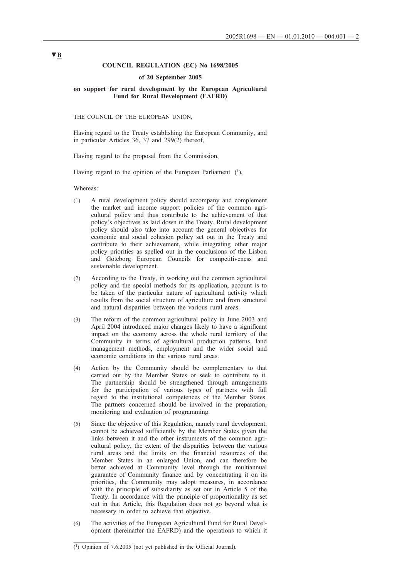## **COUNCIL REGULATION (EC) No 1698/2005**

#### **of 20 September 2005**

### **on support for rural development by the European Agricultural Fund for Rural Development (EAFRD)**

THE COUNCIL OF THE EUROPEAN UNION,

Having regard to the Treaty establishing the European Community, and in particular Articles 36, 37 and 299(2) thereof,

Having regard to the proposal from the Commission,

Having regard to the opinion of the European Parliament (1),

#### Whereas:

- (1) A rural development policy should accompany and complement the market and income support policies of the common agricultural policy and thus contribute to the achievement of that policy's objectives as laid down in the Treaty. Rural development policy should also take into account the general objectives for economic and social cohesion policy set out in the Treaty and contribute to their achievement, while integrating other major policy priorities as spelled out in the conclusions of the Lisbon and Göteborg European Councils for competitiveness and sustainable development.
- (2) According to the Treaty, in working out the common agricultural policy and the special methods for its application, account is to be taken of the particular nature of agricultural activity which results from the social structure of agriculture and from structural and natural disparities between the various rural areas.
- (3) The reform of the common agricultural policy in June 2003 and April 2004 introduced major changes likely to have a significant impact on the economy across the whole rural territory of the Community in terms of agricultural production patterns, land management methods, employment and the wider social and economic conditions in the various rural areas.
- (4) Action by the Community should be complementary to that carried out by the Member States or seek to contribute to it. The partnership should be strengthened through arrangements for the participation of various types of partners with full regard to the institutional competences of the Member States. The partners concerned should be involved in the preparation, monitoring and evaluation of programming.
- (5) Since the objective of this Regulation, namely rural development, cannot be achieved sufficiently by the Member States given the links between it and the other instruments of the common agricultural policy, the extent of the disparities between the various rural areas and the limits on the financial resources of the Member States in an enlarged Union, and can therefore be better achieved at Community level through the multiannual guarantee of Community finance and by concentrating it on its priorities, the Community may adopt measures, in accordance with the principle of subsidiarity as set out in Article 5 of the Treaty. In accordance with the principle of proportionality as set out in that Article, this Regulation does not go beyond what is necessary in order to achieve that objective.
- (6) The activities of the European Agricultural Fund for Rural Development (hereinafter the EAFRD) and the operations to which it

<sup>(1)</sup> Opinion of 7.6.2005 (not yet published in the Official Journal).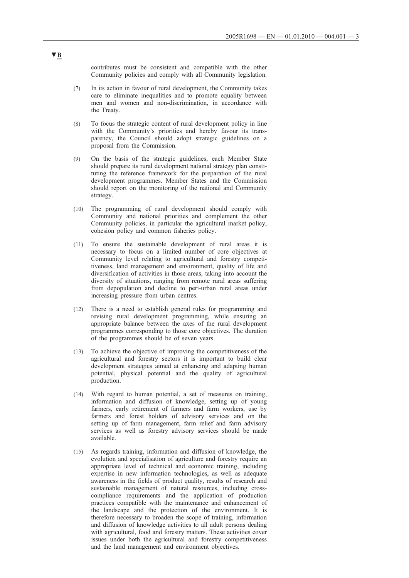contributes must be consistent and compatible with the other Community policies and comply with all Community legislation.

- (7) In its action in favour of rural development, the Community takes care to eliminate inequalities and to promote equality between men and women and non-discrimination, in accordance with the Treaty.
- (8) To focus the strategic content of rural development policy in line with the Community's priorities and hereby favour its transparency, the Council should adopt strategic guidelines on a proposal from the Commission.
- (9) On the basis of the strategic guidelines, each Member State should prepare its rural development national strategy plan constituting the reference framework for the preparation of the rural development programmes. Member States and the Commission should report on the monitoring of the national and Community strategy.
- (10) The programming of rural development should comply with Community and national priorities and complement the other Community policies, in particular the agricultural market policy, cohesion policy and common fisheries policy.
- (11) To ensure the sustainable development of rural areas it is necessary to focus on a limited number of core objectives at Community level relating to agricultural and forestry competitiveness, land management and environment, quality of life and diversification of activities in those areas, taking into account the diversity of situations, ranging from remote rural areas suffering from depopulation and decline to peri-urban rural areas under increasing pressure from urban centres.
- (12) There is a need to establish general rules for programming and revising rural development programming, while ensuring an appropriate balance between the axes of the rural development programmes corresponding to those core objectives. The duration of the programmes should be of seven years.
- (13) To achieve the objective of improving the competitiveness of the agricultural and forestry sectors it is important to build clear development strategies aimed at enhancing and adapting human potential, physical potential and the quality of agricultural production.
- (14) With regard to human potential, a set of measures on training, information and diffusion of knowledge, setting up of young farmers, early retirement of farmers and farm workers, use by farmers and forest holders of advisory services and on the setting up of farm management, farm relief and farm advisory services as well as forestry advisory services should be made available.
- (15) As regards training, information and diffusion of knowledge, the evolution and specialisation of agriculture and forestry require an appropriate level of technical and economic training, including expertise in new information technologies, as well as adequate awareness in the fields of product quality, results of research and sustainable management of natural resources, including crosscompliance requirements and the application of production practices compatible with the maintenance and enhancement of the landscape and the protection of the environment. It is therefore necessary to broaden the scope of training, information and diffusion of knowledge activities to all adult persons dealing with agricultural, food and forestry matters. These activities cover issues under both the agricultural and forestry competitiveness and the land management and environment objectives.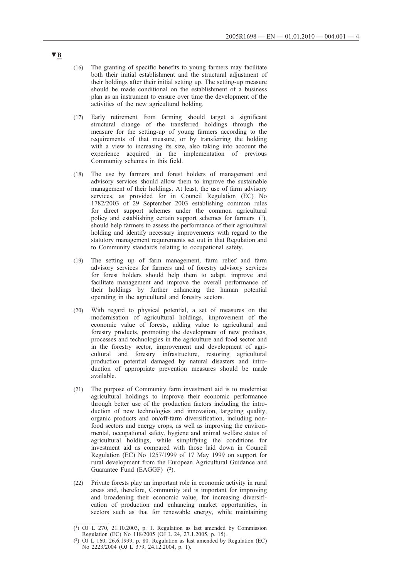- (16) The granting of specific benefits to young farmers may facilitate both their initial establishment and the structural adjustment of their holdings after their initial setting up. The setting-up measure should be made conditional on the establishment of a business plan as an instrument to ensure over time the development of the activities of the new agricultural holding.
- (17) Early retirement from farming should target a significant structural change of the transferred holdings through the measure for the setting-up of young farmers according to the requirements of that measure, or by transferring the holding with a view to increasing its size, also taking into account the experience acquired in the implementation of previous Community schemes in this field.
- (18) The use by farmers and forest holders of management and advisory services should allow them to improve the sustainable management of their holdings. At least, the use of farm advisory services, as provided for in Council Regulation (EC) No 1782/2003 of 29 September 2003 establishing common rules for direct support schemes under the common agricultural policy and establishing certain support schemes for farmers (1), should help farmers to assess the performance of their agricultural holding and identify necessary improvements with regard to the statutory management requirements set out in that Regulation and to Community standards relating to occupational safety.
- (19) The setting up of farm management, farm relief and farm advisory services for farmers and of forestry advisory services for forest holders should help them to adapt, improve and facilitate management and improve the overall performance of their holdings by further enhancing the human potential operating in the agricultural and forestry sectors.
- (20) With regard to physical potential, a set of measures on the modernisation of agricultural holdings, improvement of the economic value of forests, adding value to agricultural and forestry products, promoting the development of new products, processes and technologies in the agriculture and food sector and in the forestry sector, improvement and development of agricultural and forestry infrastructure, restoring agricultural production potential damaged by natural disasters and introduction of appropriate prevention measures should be made available.
- (21) The purpose of Community farm investment aid is to modernise agricultural holdings to improve their economic performance through better use of the production factors including the introduction of new technologies and innovation, targeting quality, organic products and on/off-farm diversification, including nonfood sectors and energy crops, as well as improving the environmental, occupational safety, hygiene and animal welfare status of agricultural holdings, while simplifying the conditions for investment aid as compared with those laid down in Council Regulation (EC) No 1257/1999 of 17 May 1999 on support for rural development from the European Agricultural Guidance and Guarantee Fund (EAGGF) (2).
- (22) Private forests play an important role in economic activity in rural areas and, therefore, Community aid is important for improving and broadening their economic value, for increasing diversification of production and enhancing market opportunities, in sectors such as that for renewable energy, while maintaining

 $(1)$  OJ L 270, 21.10.2003, p. 1. Regulation as last amended by Commission Regulation (EC) No 118/2005 (OJ L 24, 27.1.2005, p. 15).

<sup>(2)</sup> OJ L 160, 26.6.1999, p. 80. Regulation as last amended by Regulation (EC) No 2223/2004 (OJ L 379, 24.12.2004, p. 1).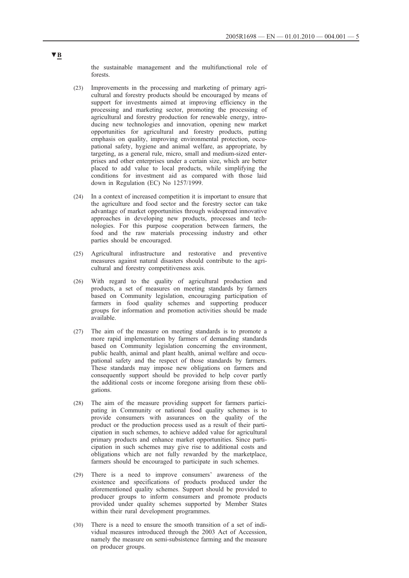the sustainable management and the multifunctional role of forests.

- (23) Improvements in the processing and marketing of primary agricultural and forestry products should be encouraged by means of support for investments aimed at improving efficiency in the processing and marketing sector, promoting the processing of agricultural and forestry production for renewable energy, introducing new technologies and innovation, opening new market opportunities for agricultural and forestry products, putting emphasis on quality, improving environmental protection, occupational safety, hygiene and animal welfare, as appropriate, by targeting, as a general rule, micro, small and medium-sized enterprises and other enterprises under a certain size, which are better placed to add value to local products, while simplifying the conditions for investment aid as compared with those laid down in Regulation (EC) No 1257/1999.
- (24) In a context of increased competition it is important to ensure that the agriculture and food sector and the forestry sector can take advantage of market opportunities through widespread innovative approaches in developing new products, processes and technologies. For this purpose cooperation between farmers, the food and the raw materials processing industry and other parties should be encouraged.
- (25) Agricultural infrastructure and restorative and preventive measures against natural disasters should contribute to the agricultural and forestry competitiveness axis.
- (26) With regard to the quality of agricultural production and products, a set of measures on meeting standards by farmers based on Community legislation, encouraging participation of farmers in food quality schemes and supporting producer groups for information and promotion activities should be made available.
- (27) The aim of the measure on meeting standards is to promote a more rapid implementation by farmers of demanding standards based on Community legislation concerning the environment, public health, animal and plant health, animal welfare and occupational safety and the respect of those standards by farmers. These standards may impose new obligations on farmers and consequently support should be provided to help cover partly the additional costs or income foregone arising from these obligations.
- (28) The aim of the measure providing support for farmers participating in Community or national food quality schemes is to provide consumers with assurances on the quality of the product or the production process used as a result of their participation in such schemes, to achieve added value for agricultural primary products and enhance market opportunities. Since participation in such schemes may give rise to additional costs and obligations which are not fully rewarded by the marketplace, farmers should be encouraged to participate in such schemes.
- (29) There is a need to improve consumers' awareness of the existence and specifications of products produced under the aforementioned quality schemes. Support should be provided to producer groups to inform consumers and promote products provided under quality schemes supported by Member States within their rural development programmes.
- (30) There is a need to ensure the smooth transition of a set of individual measures introduced through the 2003 Act of Accession, namely the measure on semi-subsistence farming and the measure on producer groups.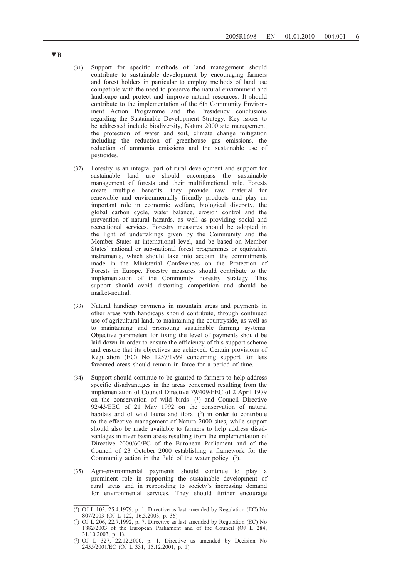- (31) Support for specific methods of land management should contribute to sustainable development by encouraging farmers and forest holders in particular to employ methods of land use compatible with the need to preserve the natural environment and landscape and protect and improve natural resources. It should contribute to the implementation of the 6th Community Environment Action Programme and the Presidency conclusions regarding the Sustainable Development Strategy. Key issues to be addressed include biodiversity, Natura 2000 site management, the protection of water and soil, climate change mitigation including the reduction of greenhouse gas emissions, the reduction of ammonia emissions and the sustainable use of pesticides.
- (32) Forestry is an integral part of rural development and support for sustainable land use should encompass the sustainable management of forests and their multifunctional role. Forests create multiple benefits: they provide raw material for renewable and environmentally friendly products and play an important role in economic welfare, biological diversity, the global carbon cycle, water balance, erosion control and the prevention of natural hazards, as well as providing social and recreational services. Forestry measures should be adopted in the light of undertakings given by the Community and the Member States at international level, and be based on Member States' national or sub-national forest programmes or equivalent instruments, which should take into account the commitments made in the Ministerial Conferences on the Protection of Forests in Europe. Forestry measures should contribute to the implementation of the Community Forestry Strategy. This support should avoid distorting competition and should be market-neutral.
- (33) Natural handicap payments in mountain areas and payments in other areas with handicaps should contribute, through continued use of agricultural land, to maintaining the countryside, as well as to maintaining and promoting sustainable farming systems. Objective parameters for fixing the level of payments should be laid down in order to ensure the efficiency of this support scheme and ensure that its objectives are achieved. Certain provisions of Regulation (EC) No 1257/1999 concerning support for less favoured areas should remain in force for a period of time.
- (34) Support should continue to be granted to farmers to help address specific disadvantages in the areas concerned resulting from the implementation of Council Directive 79/409/EEC of 2 April 1979 on the conservation of wild birds (1) and Council Directive 92/43/EEC of 21 May 1992 on the conservation of natural habitats and of wild fauna and flora (2) in order to contribute to the effective management of Natura 2000 sites, while support should also be made available to farmers to help address disadvantages in river basin areas resulting from the implementation of Directive 2000/60/EC of the European Parliament and of the Council of 23 October 2000 establishing a framework for the Community action in the field of the water policy (3).
- (35) Agri-environmental payments should continue to play a prominent role in supporting the sustainable development of rural areas and in responding to society's increasing demand for environmental services. They should further encourage

 $(1)$  OJ L 103, 25.4.1979, p. 1. Directive as last amended by Regulation (EC) No 807/2003 (OJ L 122, 16.5.2003, p. 36).

<sup>(2)</sup> OJ L 206, 22.7.1992, p. 7. Directive as last amended by Regulation (EC) No 1882/2003 of the European Parliament and of the Council (OJ L 284, 31.10.2003, p. 1).

<sup>(3)</sup> OJ L 327, 22.12.2000, p. 1. Directive as amended by Decision No 2455/2001/EC (OJ L 331, 15.12.2001, p. 1).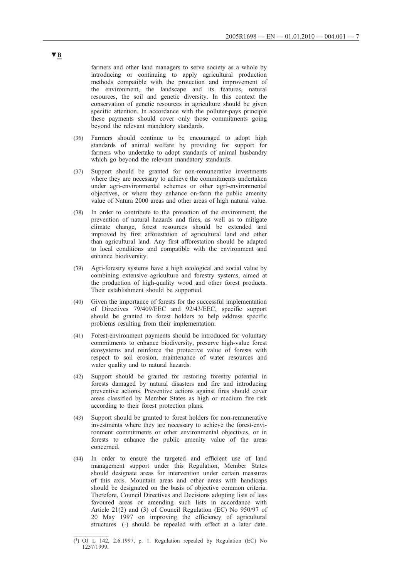farmers and other land managers to serve society as a whole by introducing or continuing to apply agricultural production methods compatible with the protection and improvement of the environment, the landscape and its features, natural resources, the soil and genetic diversity. In this context the conservation of genetic resources in agriculture should be given specific attention. In accordance with the polluter-pays principle these payments should cover only those commitments going beyond the relevant mandatory standards.

- (36) Farmers should continue to be encouraged to adopt high standards of animal welfare by providing for support for farmers who undertake to adopt standards of animal husbandry which go beyond the relevant mandatory standards.
- (37) Support should be granted for non-remunerative investments where they are necessary to achieve the commitments undertaken under agri-environmental schemes or other agri-environmental objectives, or where they enhance on-farm the public amenity value of Natura 2000 areas and other areas of high natural value.
- (38) In order to contribute to the protection of the environment, the prevention of natural hazards and fires, as well as to mitigate climate change, forest resources should be extended and improved by first afforestation of agricultural land and other than agricultural land. Any first afforestation should be adapted to local conditions and compatible with the environment and enhance biodiversity.
- (39) Agri-forestry systems have a high ecological and social value by combining extensive agriculture and forestry systems, aimed at the production of high-quality wood and other forest products. Their establishment should be supported.
- (40) Given the importance of forests for the successful implementation of Directives 79/409/EEC and 92/43/EEC, specific support should be granted to forest holders to help address specific problems resulting from their implementation.
- (41) Forest-environment payments should be introduced for voluntary commitments to enhance biodiversity, preserve high-value forest ecosystems and reinforce the protective value of forests with respect to soil erosion, maintenance of water resources and water quality and to natural hazards.
- (42) Support should be granted for restoring forestry potential in forests damaged by natural disasters and fire and introducing preventive actions. Preventive actions against fires should cover areas classified by Member States as high or medium fire risk according to their forest protection plans.
- (43) Support should be granted to forest holders for non-remunerative investments where they are necessary to achieve the forest-environment commitments or other environmental objectives, or in forests to enhance the public amenity value of the areas concerned.
- (44) In order to ensure the targeted and efficient use of land management support under this Regulation, Member States should designate areas for intervention under certain measures of this axis. Mountain areas and other areas with handicaps should be designated on the basis of objective common criteria. Therefore, Council Directives and Decisions adopting lists of less favoured areas or amending such lists in accordance with Article 21(2) and (3) of Council Regulation (EC) No 950/97 of 20 May 1997 on improving the efficiency of agricultural structures (1) should be repealed with effect at a later date.

<sup>(1)</sup> OJ L 142, 2.6.1997, p. 1. Regulation repealed by Regulation (EC) No 1257/1999.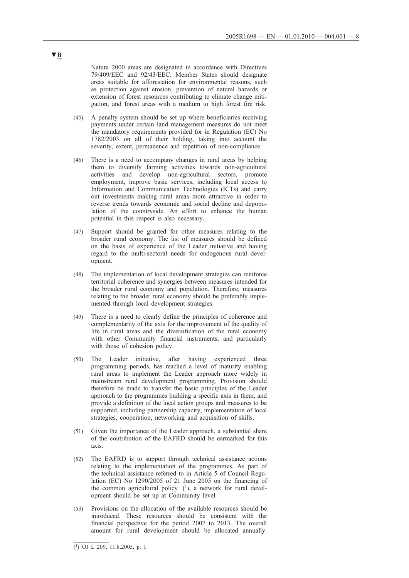Natura 2000 areas are designated in accordance with Directives 79/409/EEC and 92/43/EEC. Member States should designate areas suitable for afforestation for environmental reasons, such as protection against erosion, prevention of natural hazards or extension of forest resources contributing to climate change mitigation, and forest areas with a medium to high forest fire risk.

- (45) A penalty system should be set up where beneficiaries receiving payments under certain land management measures do not meet the mandatory requirements provided for in Regulation (EC) No 1782/2003 on all of their holding, taking into account the severity, extent, permanence and repetition of non-compliance.
- (46) There is a need to accompany changes in rural areas by helping them to diversify farming activities towards non-agricultural activities and develop non-agricultural sectors, promote employment, improve basic services, including local access to Information and Communication Technologies (ICTs) and carry out investments making rural areas more attractive in order to reverse trends towards economic and social decline and depopulation of the countryside. An effort to enhance the human potential in this respect is also necessary.
- (47) Support should be granted for other measures relating to the broader rural economy. The list of measures should be defined on the basis of experience of the Leader initiative and having regard to the multi-sectoral needs for endogenous rural development.
- (48) The implementation of local development strategies can reinforce territorial coherence and synergies between measures intended for the broader rural economy and population. Therefore, measures relating to the broader rural economy should be preferably implemented through local development strategies.
- (49) There is a need to clearly define the principles of coherence and complementarity of the axis for the improvement of the quality of life in rural areas and the diversification of the rural economy with other Community financial instruments, and particularly with those of cohesion policy.
- (50) The Leader initiative, after having experienced three programming periods, has reached a level of maturity enabling rural areas to implement the Leader approach more widely in mainstream rural development programming. Provision should therefore be made to transfer the basic principles of the Leader approach to the programmes building a specific axis in them, and provide a definition of the local action groups and measures to be supported, including partnership capacity, implementation of local strategies, cooperation, networking and acquisition of skills.
- (51) Given the importance of the Leader approach, a substantial share of the contribution of the EAFRD should be earmarked for this axis.
- (52) The EAFRD is to support through technical assistance actions relating to the implementation of the programmes. As part of the technical assistance referred to in Article 5 of Council Regulation (EC) No 1290/2005 of 21 June 2005 on the financing of the common agricultural policy  $(1)$ , a network for rural development should be set up at Community level.
- (53) Provisions on the allocation of the available resources should be introduced. These resources should be consistent with the financial perspective for the period 2007 to 2013. The overall amount for rural development should be allocated annually.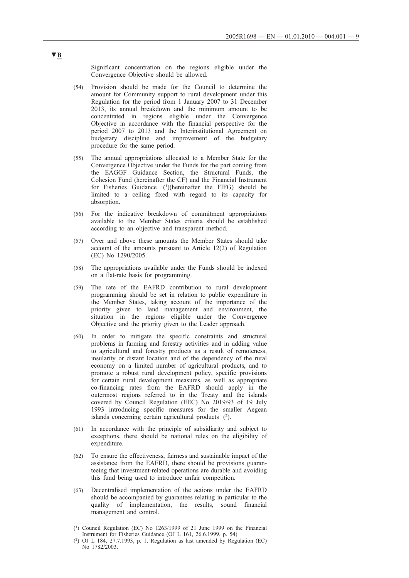Significant concentration on the regions eligible under the Convergence Objective should be allowed.

- (54) Provision should be made for the Council to determine the amount for Community support to rural development under this Regulation for the period from 1 January 2007 to 31 December 2013, its annual breakdown and the minimum amount to be concentrated in regions eligible under the Convergence Objective in accordance with the financial perspective for the period 2007 to 2013 and the Interinstitutional Agreement on budgetary discipline and improvement of the budgetary procedure for the same period.
- (55) The annual appropriations allocated to a Member State for the Convergence Objective under the Funds for the part coming from the EAGGF Guidance Section, the Structural Funds, the Cohesion Fund (hereinafter the CF) and the Financial Instrument for Fisheries Guidance (1)(hereinafter the FIFG) should be limited to a ceiling fixed with regard to its capacity for absorption.
- (56) For the indicative breakdown of commitment appropriations available to the Member States criteria should be established according to an objective and transparent method.
- (57) Over and above these amounts the Member States should take account of the amounts pursuant to Article 12(2) of Regulation (EC) No 1290/2005.
- (58) The appropriations available under the Funds should be indexed on a flat-rate basis for programming.
- (59) The rate of the EAFRD contribution to rural development programming should be set in relation to public expenditure in the Member States, taking account of the importance of the priority given to land management and environment, the situation in the regions eligible under the Convergence Objective and the priority given to the Leader approach.
- (60) In order to mitigate the specific constraints and structural problems in farming and forestry activities and in adding value to agricultural and forestry products as a result of remoteness, insularity or distant location and of the dependency of the rural economy on a limited number of agricultural products, and to promote a robust rural development policy, specific provisions for certain rural development measures, as well as appropriate co-financing rates from the EAFRD should apply in the outermost regions referred to in the Treaty and the islands covered by Council Regulation (EEC) No 2019/93 of 19 July 1993 introducing specific measures for the smaller Aegean islands concerning certain agricultural products  $(2)$ .
- (61) In accordance with the principle of subsidiarity and subject to exceptions, there should be national rules on the eligibility of expenditure.
- (62) To ensure the effectiveness, fairness and sustainable impact of the assistance from the EAFRD, there should be provisions guaranteeing that investment-related operations are durable and avoiding this fund being used to introduce unfair competition.
- (63) Decentralised implementation of the actions under the EAFRD should be accompanied by guarantees relating in particular to the quality of implementation, the results, sound financial management and control.

 $(1)$  Council Regulation (EC) No 1263/1999 of 21 June 1999 on the Financial Instrument for Fisheries Guidance (OJ L 161, 26.6.1999, p. 54).

<sup>(2)</sup> OJ L 184, 27.7.1993, p. 1. Regulation as last amended by Regulation (EC) No 1782/2003.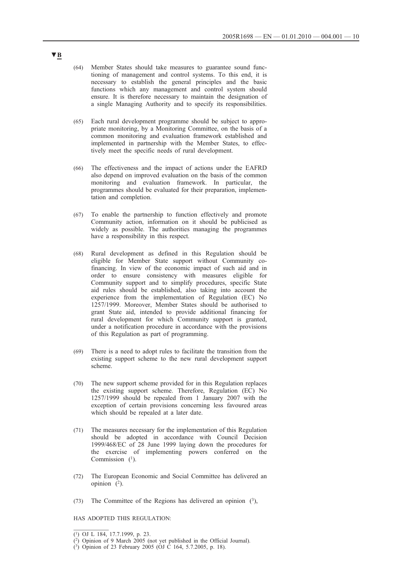- (64) Member States should take measures to guarantee sound functioning of management and control systems. To this end, it is necessary to establish the general principles and the basic functions which any management and control system should ensure. It is therefore necessary to maintain the designation of a single Managing Authority and to specify its responsibilities.
- (65) Each rural development programme should be subject to appropriate monitoring, by a Monitoring Committee, on the basis of a common monitoring and evaluation framework established and implemented in partnership with the Member States, to effectively meet the specific needs of rural development.
- (66) The effectiveness and the impact of actions under the EAFRD also depend on improved evaluation on the basis of the common monitoring and evaluation framework. In particular, the programmes should be evaluated for their preparation, implementation and completion.
- (67) To enable the partnership to function effectively and promote Community action, information on it should be publicised as widely as possible. The authorities managing the programmes have a responsibility in this respect.
- (68) Rural development as defined in this Regulation should be eligible for Member State support without Community cofinancing. In view of the economic impact of such aid and in order to ensure consistency with measures eligible for Community support and to simplify procedures, specific State aid rules should be established, also taking into account the experience from the implementation of Regulation (EC) No 1257/1999. Moreover, Member States should be authorised to grant State aid, intended to provide additional financing for rural development for which Community support is granted, under a notification procedure in accordance with the provisions of this Regulation as part of programming.
- (69) There is a need to adopt rules to facilitate the transition from the existing support scheme to the new rural development support scheme.
- (70) The new support scheme provided for in this Regulation replaces the existing support scheme. Therefore, Regulation (EC) No 1257/1999 should be repealed from 1 January 2007 with the exception of certain provisions concerning less favoured areas which should be repealed at a later date.
- (71) The measures necessary for the implementation of this Regulation should be adopted in accordance with Council Decision 1999/468/EC of 28 June 1999 laying down the procedures for the exercise of implementing powers conferred on the Commission  $(1)$ .
- (72) The European Economic and Social Committee has delivered an opinion  $\overline{(^{2})}$ .
- (73) The Committee of the Regions has delivered an opinion  $(3)$ ,

HAS ADOPTED THIS REGULATION:

<sup>(1)</sup> OJ L 184, 17.7.1999, p. 23.

<sup>(2)</sup> Opinion of 9 March 2005 (not yet published in the Official Journal).

<sup>(3)</sup> Opinion of 23 February 2005 (OJ C 164, 5.7.2005, p. 18).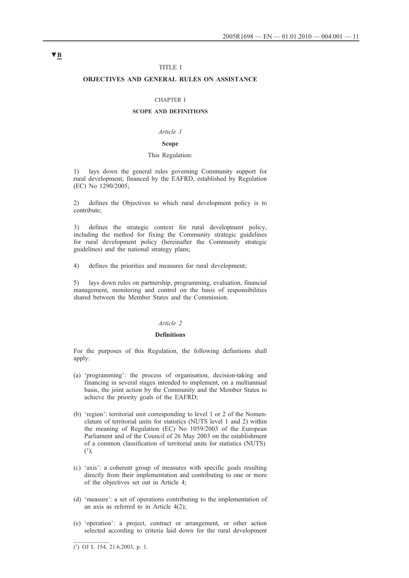### TITLE I

## **OBJECTIVES AND GENERAL RULES ON ASSISTANCE**

#### CHAPTER I

## **SCOPE AND DEFINITIONS**

## *Article 1*

## **Scope**

### This Regulation:

1) lays down the general rules governing Community support for rural development, financed by the EAFRD, established by Regulation (EC) No 1290/2005;

2) defines the Objectives to which rural development policy is to contribute;

3) defines the strategic context for rural development policy, including the method for fixing the Community strategic guidelines for rural development policy (hereinafter the Community strategic guidelines) and the national strategy plans;

4) defines the priorities and measures for rural development;

5) lays down rules on partnership, programming, evaluation, financial management, monitoring and control on the basis of responsibilities shared between the Member States and the Commission.

#### *Article 2*

#### **Definitions**

For the purposes of this Regulation, the following definitions shall apply:

- (a) 'programming': the process of organisation, decision-taking and financing in several stages intended to implement, on a multiannual basis, the joint action by the Community and the Member States to achieve the priority goals of the EAFRD;
- (b) 'region': territorial unit corresponding to level 1 or 2 of the Nomenclature of territorial units for statistics (NUTS level 1 and 2) within the meaning of Regulation (EC) No 1059/2003 of the European Parliament and of the Council of 26 May 2003 on the establishment of a common classification of territorial units for statistics (NUTS)  $(1)$ ;
- (c) 'axis': a coherent group of measures with specific goals resulting directly from their implementation and contributing to one or more of the objectives set out in Article 4;
- (d) 'measure': a set of operations contributing to the implementation of an axis as referred to in Article 4(2);
- (e) 'operation': a project, contract or arrangement, or other action selected according to criteria laid down for the rural development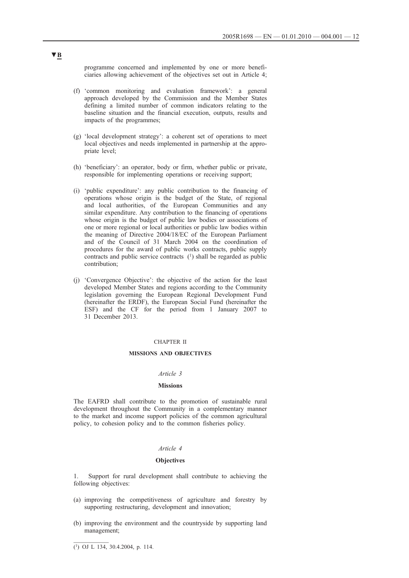programme concerned and implemented by one or more beneficiaries allowing achievement of the objectives set out in Article 4;

- (f) 'common monitoring and evaluation framework': a general approach developed by the Commission and the Member States defining a limited number of common indicators relating to the baseline situation and the financial execution, outputs, results and impacts of the programmes;
- (g) 'local development strategy': a coherent set of operations to meet local objectives and needs implemented in partnership at the appropriate level;
- (h) 'beneficiary': an operator, body or firm, whether public or private, responsible for implementing operations or receiving support;
- (i) 'public expenditure': any public contribution to the financing of operations whose origin is the budget of the State, of regional and local authorities, of the European Communities and any similar expenditure. Any contribution to the financing of operations whose origin is the budget of public law bodies or associations of one or more regional or local authorities or public law bodies within the meaning of Directive 2004/18/EC of the European Parliament and of the Council of 31 March 2004 on the coordination of procedures for the award of public works contracts, public supply contracts and public service contracts (1) shall be regarded as public contribution;
- (j) 'Convergence Objective': the objective of the action for the least developed Member States and regions according to the Community legislation governing the European Regional Development Fund (hereinafter the ERDF), the European Social Fund (hereinafter the ESF) and the CF for the period from 1 January 2007 to 31 December 2013.

### CHAPTER II

## **MISSIONS AND OBJECTIVES**

### *Article 3*

#### **Missions**

The EAFRD shall contribute to the promotion of sustainable rural development throughout the Community in a complementary manner to the market and income support policies of the common agricultural policy, to cohesion policy and to the common fisheries policy.

### *Article 4*

#### **Objectives**

Support for rural development shall contribute to achieving the following objectives:

- (a) improving the competitiveness of agriculture and forestry by supporting restructuring, development and innovation;
- (b) improving the environment and the countryside by supporting land management;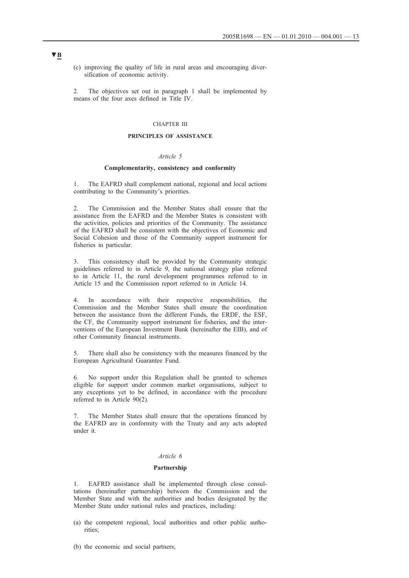(c) improving the quality of life in rural areas and encouraging diversification of economic activity.

2. The objectives set out in paragraph 1 shall be implemented by means of the four axes defined in Title IV.

## CHAPTER III

### **PRINCIPLES OF ASSISTANCE**

#### *Article 5*

### **Complementarity, consistency and conformity**

1. The EAFRD shall complement national, regional and local actions contributing to the Community's priorities.

2. The Commission and the Member States shall ensure that the assistance from the EAFRD and the Member States is consistent with the activities, policies and priorities of the Community. The assistance of the EAFRD shall be consistent with the objectives of Economic and Social Cohesion and those of the Community support instrument for fisheries in particular.

3. This consistency shall be provided by the Community strategic guidelines referred to in Article 9, the national strategy plan referred to in Article 11, the rural development programmes referred to in Article 15 and the Commission report referred to in Article 14.

4. In accordance with their respective responsibilities, the Commission and the Member States shall ensure the coordination between the assistance from the different Funds, the ERDF, the ESF, the CF, the Community support instrument for fisheries, and the interventions of the European Investment Bank (hereinafter the EIB), and of other Community financial instruments.

There shall also be consistency with the measures financed by the European Agricultural Guarantee Fund.

6. No support under this Regulation shall be granted to schemes eligible for support under common market organisations, subject to any exceptions yet to be defined, in accordance with the procedure referred to in Article 90(2).

7. The Member States shall ensure that the operations financed by the EAFRD are in conformity with the Treaty and any acts adopted under it.

### *Article 6*

#### **Partnership**

1. EAFRD assistance shall be implemented through close consultations (hereinafter partnership) between the Commission and the Member State and with the authorities and bodies designated by the Member State under national rules and practices, including:

- (a) the competent regional, local authorities and other public authorities;
- (b) the economic and social partners;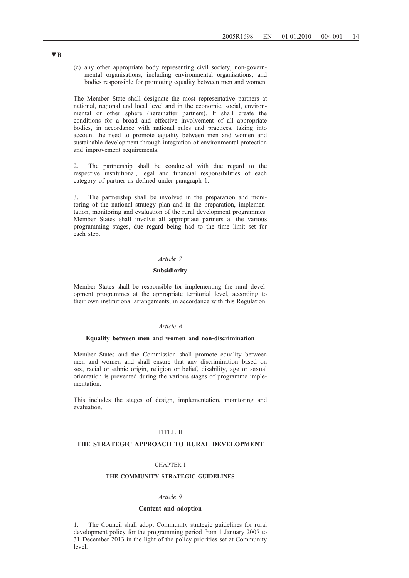(c) any other appropriate body representing civil society, non-governmental organisations, including environmental organisations, and bodies responsible for promoting equality between men and women.

The Member State shall designate the most representative partners at national, regional and local level and in the economic, social, environmental or other sphere (hereinafter partners). It shall create the conditions for a broad and effective involvement of all appropriate bodies, in accordance with national rules and practices, taking into account the need to promote equality between men and women and sustainable development through integration of environmental protection and improvement requirements.

2. The partnership shall be conducted with due regard to the respective institutional, legal and financial responsibilities of each category of partner as defined under paragraph 1.

3. The partnership shall be involved in the preparation and monitoring of the national strategy plan and in the preparation, implementation, monitoring and evaluation of the rural development programmes. Member States shall involve all appropriate partners at the various programming stages, due regard being had to the time limit set for each step.

## *Article 7*

### **Subsidiarity**

Member States shall be responsible for implementing the rural development programmes at the appropriate territorial level, according to their own institutional arrangements, in accordance with this Regulation.

#### *Article 8*

#### **Equality between men and women and non-discrimination**

Member States and the Commission shall promote equality between men and women and shall ensure that any discrimination based on sex, racial or ethnic origin, religion or belief, disability, age or sexual orientation is prevented during the various stages of programme implementation.

This includes the stages of design, implementation, monitoring and evaluation.

#### TITLE II

#### **THE STRATEGIC APPROACH TO RURAL DEVELOPMENT**

### CHAPTER I

## **THE COMMUNITY STRATEGIC GUIDELINES**

#### *Article 9*

#### **Content and adoption**

1. The Council shall adopt Community strategic guidelines for rural development policy for the programming period from 1 January 2007 to 31 December 2013 in the light of the policy priorities set at Community level.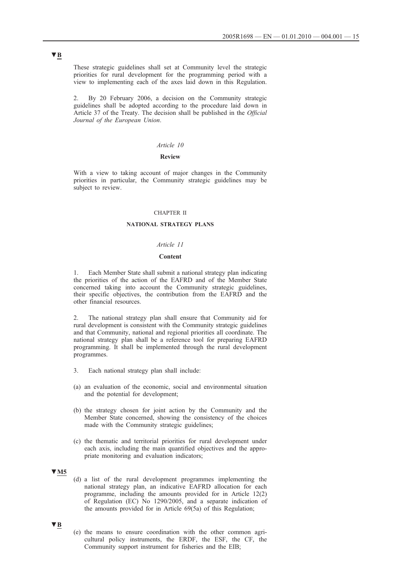These strategic guidelines shall set at Community level the strategic priorities for rural development for the programming period with a view to implementing each of the axes laid down in this Regulation.

2. By 20 February 2006, a decision on the Community strategic guidelines shall be adopted according to the procedure laid down in Article 37 of the Treaty. The decision shall be published in the *Official Journal of the European Union*.

#### *Article 10*

### **Review**

With a view to taking account of major changes in the Community priorities in particular, the Community strategic guidelines may be subject to review.

#### CHAPTER II

#### **NATIONAL STRATEGY PLANS**

## *Article 11*

#### **Content**

1. Each Member State shall submit a national strategy plan indicating the priorities of the action of the EAFRD and of the Member State concerned taking into account the Community strategic guidelines, their specific objectives, the contribution from the EAFRD and the other financial resources.

2. The national strategy plan shall ensure that Community aid for rural development is consistent with the Community strategic guidelines and that Community, national and regional priorities all coordinate. The national strategy plan shall be a reference tool for preparing EAFRD programming. It shall be implemented through the rural development programmes.

- 3. Each national strategy plan shall include:
- (a) an evaluation of the economic, social and environmental situation and the potential for development;
- (b) the strategy chosen for joint action by the Community and the Member State concerned, showing the consistency of the choices made with the Community strategic guidelines;
- (c) the thematic and territorial priorities for rural development under each axis, including the main quantified objectives and the appropriate monitoring and evaluation indicators;

## **▼M5**

(d) a list of the rural development programmes implementing the national strategy plan, an indicative EAFRD allocation for each programme, including the amounts provided for in Article 12(2) of Regulation (EC) No 1290/2005, and a separate indication of the amounts provided for in Article 69(5a) of this Regulation;

#### **▼B**

(e) the means to ensure coordination with the other common agricultural policy instruments, the ERDF, the ESF, the CF, the Community support instrument for fisheries and the EIB;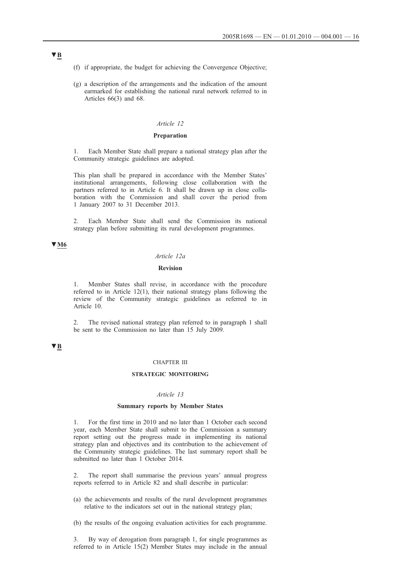- (f) if appropriate, the budget for achieving the Convergence Objective;
- (g) a description of the arrangements and the indication of the amount earmarked for establishing the national rural network referred to in Articles 66(3) and 68.

## *Article 12*

## **Preparation**

1. Each Member State shall prepare a national strategy plan after the Community strategic guidelines are adopted.

This plan shall be prepared in accordance with the Member States' institutional arrangements, following close collaboration with the partners referred to in Article 6. It shall be drawn up in close collaboration with the Commission and shall cover the period from 1 January 2007 to 31 December 2013.

2. Each Member State shall send the Commission its national strategy plan before submitting its rural development programmes.

## **▼M6**

### *Article 12a*

## **Revision**

1. Member States shall revise, in accordance with the procedure referred to in Article 12(1), their national strategy plans following the review of the Community strategic guidelines as referred to in Article 10.

2. The revised national strategy plan referred to in paragraph 1 shall be sent to the Commission no later than 15 July 2009.

## **▼B**

#### CHAPTER III

## **STRATEGIC MONITORING**

#### *Article 13*

### **Summary reports by Member States**

1. For the first time in 2010 and no later than 1 October each second year, each Member State shall submit to the Commission a summary report setting out the progress made in implementing its national strategy plan and objectives and its contribution to the achievement of the Community strategic guidelines. The last summary report shall be submitted no later than 1 October 2014.

2. The report shall summarise the previous years' annual progress reports referred to in Article 82 and shall describe in particular:

- (a) the achievements and results of the rural development programmes relative to the indicators set out in the national strategy plan;
- (b) the results of the ongoing evaluation activities for each programme.

3. By way of derogation from paragraph 1, for single programmes as referred to in Article 15(2) Member States may include in the annual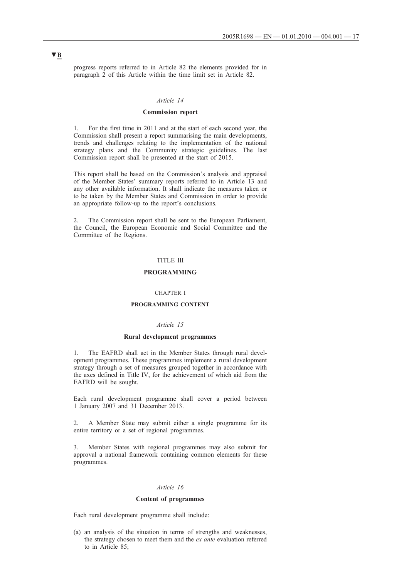progress reports referred to in Article 82 the elements provided for in paragraph 2 of this Article within the time limit set in Article 82.

#### *Article 14*

### **Commission report**

1. For the first time in 2011 and at the start of each second year, the Commission shall present a report summarising the main developments, trends and challenges relating to the implementation of the national strategy plans and the Community strategic guidelines. The last Commission report shall be presented at the start of 2015.

This report shall be based on the Commission's analysis and appraisal of the Member States' summary reports referred to in Article 13 and any other available information. It shall indicate the measures taken or to be taken by the Member States and Commission in order to provide an appropriate follow-up to the report's conclusions.

2. The Commission report shall be sent to the European Parliament, the Council, the European Economic and Social Committee and the Committee of the Regions.

## TITLE III

#### **PROGRAMMING**

#### CHAPTER I

## **PROGRAMMING CONTENT**

#### *Article 15*

#### **Rural development programmes**

1. The EAFRD shall act in the Member States through rural development programmes. These programmes implement a rural development strategy through a set of measures grouped together in accordance with the axes defined in Title IV, for the achievement of which aid from the EAFRD will be sought.

Each rural development programme shall cover a period between 1 January 2007 and 31 December 2013.

2. A Member State may submit either a single programme for its entire territory or a set of regional programmes.

3. Member States with regional programmes may also submit for approval a national framework containing common elements for these programmes.

#### *Article 16*

#### **Content of programmes**

Each rural development programme shall include:

(a) an analysis of the situation in terms of strengths and weaknesses, the strategy chosen to meet them and the *ex ante* evaluation referred to in Article 85;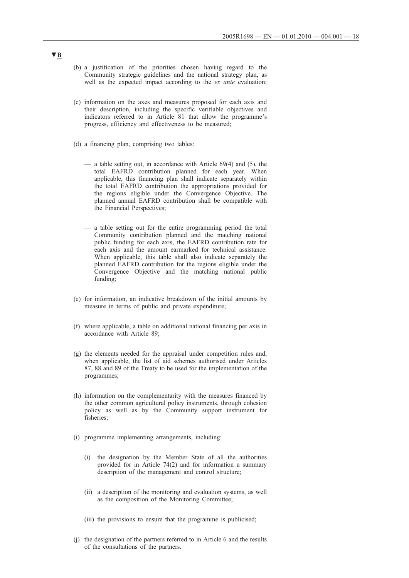- (b) a justification of the priorities chosen having regard to the Community strategic guidelines and the national strategy plan, as well as the expected impact according to the *ex ante* evaluation;
- (c) information on the axes and measures proposed for each axis and their description, including the specific verifiable objectives and indicators referred to in Article 81 that allow the programme's progress, efficiency and effectiveness to be measured;
- (d) a financing plan, comprising two tables:
	- a table setting out, in accordance with Article 69(4) and (5), the total EAFRD contribution planned for each year. When applicable, this financing plan shall indicate separately within the total EAFRD contribution the appropriations provided for the regions eligible under the Convergence Objective. The planned annual EAFRD contribution shall be compatible with the Financial Perspectives;
	- a table setting out for the entire programming period the total Community contribution planned and the matching national public funding for each axis, the EAFRD contribution rate for each axis and the amount earmarked for technical assistance. When applicable, this table shall also indicate separately the planned EAFRD contribution for the regions eligible under the Convergence Objective and the matching national public funding;
- (e) for information, an indicative breakdown of the initial amounts by measure in terms of public and private expenditure;
- (f) where applicable, a table on additional national financing per axis in accordance with Article 89;
- (g) the elements needed for the appraisal under competition rules and, when applicable, the list of aid schemes authorised under Articles 87, 88 and 89 of the Treaty to be used for the implementation of the programmes;
- (h) information on the complementarity with the measures financed by the other common agricultural policy instruments, through cohesion policy as well as by the Community support instrument for fisheries;
- (i) programme implementing arrangements, including:
	- (i) the designation by the Member State of all the authorities provided for in Article 74(2) and for information a summary description of the management and control structure;
	- (ii) a description of the monitoring and evaluation systems, as well as the composition of the Monitoring Committee;
	- (iii) the provisions to ensure that the programme is publicised;
- (j) the designation of the partners referred to in Article 6 and the results of the consultations of the partners.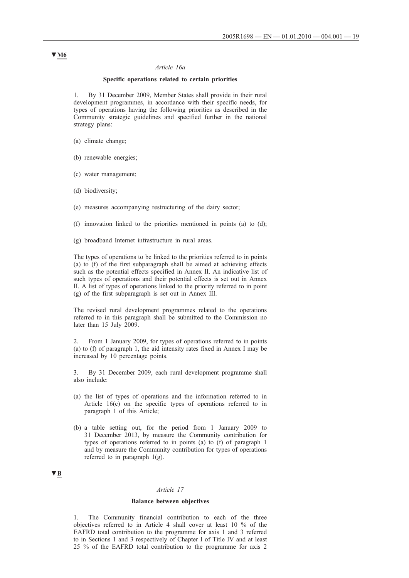#### *Article 16a*

## **Specific operations related to certain priorities**

1. By 31 December 2009, Member States shall provide in their rural development programmes, in accordance with their specific needs, for types of operations having the following priorities as described in the Community strategic guidelines and specified further in the national strategy plans:

- (a) climate change;
- (b) renewable energies;
- (c) water management;
- (d) biodiversity;
- (e) measures accompanying restructuring of the dairy sector;
- (f) innovation linked to the priorities mentioned in points (a) to (d);
- (g) broadband Internet infrastructure in rural areas.

The types of operations to be linked to the priorities referred to in points (a) to (f) of the first subparagraph shall be aimed at achieving effects such as the potential effects specified in Annex II. An indicative list of such types of operations and their potential effects is set out in Annex II. A list of types of operations linked to the priority referred to in point (g) of the first subparagraph is set out in Annex III.

The revised rural development programmes related to the operations referred to in this paragraph shall be submitted to the Commission no later than 15 July 2009.

2. From 1 January 2009, for types of operations referred to in points (a) to (f) of paragraph 1, the aid intensity rates fixed in Annex I may be increased by 10 percentage points.

3. By 31 December 2009, each rural development programme shall also include:

- (a) the list of types of operations and the information referred to in Article 16(c) on the specific types of operations referred to in paragraph 1 of this Article;
- (b) a table setting out, for the period from 1 January 2009 to 31 December 2013, by measure the Community contribution for types of operations referred to in points (a) to (f) of paragraph 1 and by measure the Community contribution for types of operations referred to in paragraph 1(g).

## **▼B**

#### *Article 17*

#### **Balance between objectives**

1. The Community financial contribution to each of the three objectives referred to in Article 4 shall cover at least 10 % of the EAFRD total contribution to the programme for axis 1 and 3 referred to in Sections 1 and 3 respectively of Chapter I of Title IV and at least 25 % of the EAFRD total contribution to the programme for axis 2

## **▼M6**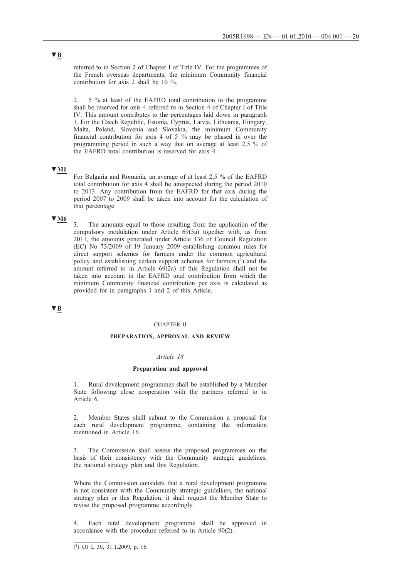referred to in Section 2 of Chapter I of Title IV. For the programmes of the French overseas departments, the minimum Community financial contribution for axis 2 shall be 10 %.

2. 5 % at least of the EAFRD total contribution to the programme shall be reserved for axis 4 referred to in Section 4 of Chapter I of Title IV. This amount contributes to the percentages laid down in paragraph 1. For the Czech Republic, Estonia, Cyprus, Latvia, Lithuania, Hungary, Malta, Poland, Slovenia and Slovakia, the minimum Community financial contribution for axis 4 of 5 % may be phased in over the programming period in such a way that on average at least 2,5 % of the EAFRD total contribution is reserved for axis 4.

## **▼M1**

For Bulgaria and Romania, an average of at least 2,5 % of the EAFRD total contribution for axis 4 shall be ærespected during the period 2010 to 2013. Any contribution from the EAFRD for that axis during the period 2007 to 2009 shall be taken into account for the calculation of that percentage.

## **▼M6**

3. The amounts equal to those resulting from the application of the compulsory modulation under Article 69(5a) together with, as from 2011, the amounts generated under Article 136 of Council Regulation (EC) No 73/2009 of 19 January 2009 establishing common rules for direct support schemes for farmers under the common agricultural policy and establishing certain support schemes for farmers  $(1)$  and the amount referred to in Article  $69(2a)$  of this Regulation shall not be taken into account in the EAFRD total contribution from which the minimum Community financial contribution per axis is calculated as provided for in paragraphs 1 and 2 of this Article.

## **▼B**

#### CHAPTER II

## **PREPARATION, APPROVAL AND REVIEW**

## *Article 18*

#### **Preparation and approval**

1. Rural development programmes shall be established by a Member State following close cooperation with the partners referred to in Article 6.

2. Member States shall submit to the Commission a proposal for each rural development programme, containing the information mentioned in Article 16.

3. The Commission shall assess the proposed programmes on the basis of their consistency with the Community strategic guidelines, the national strategy plan and this Regulation.

Where the Commission considers that a rural development programme is not consistent with the Community strategic guidelines, the national strategy plan or this Regulation, it shall request the Member State to revise the proposed programme accordingly.

Each rural development programme shall be approved in accordance with the procedure referred to in Article 90(2).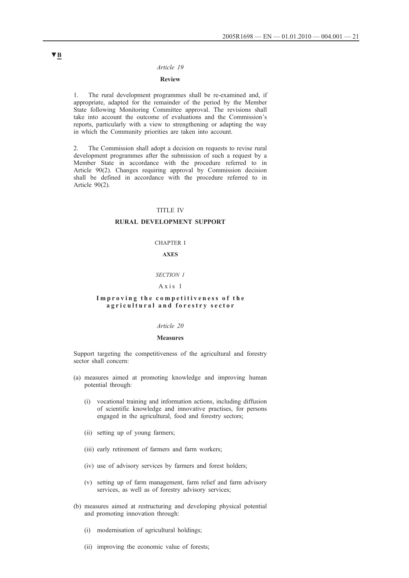### *Article 19*

## **Review**

1. The rural development programmes shall be re-examined and, if appropriate, adapted for the remainder of the period by the Member State following Monitoring Committee approval. The revisions shall take into account the outcome of evaluations and the Commission's reports, particularly with a view to strengthening or adapting the way in which the Community priorities are taken into account.

2. The Commission shall adopt a decision on requests to revise rural development programmes after the submission of such a request by a Member State in accordance with the procedure referred to in Article 90(2). Changes requiring approval by Commission decision shall be defined in accordance with the procedure referred to in Article 90(2).

## TITLE IV

## **RURAL DEVELOPMENT SUPPORT**

#### CHAPTER I

### **AXES**

### *SECTION 1*

## Axis 1

#### **Improving the competitiveness of the agricultural and forestry sector**

## *Article 20*

#### **Measures**

Support targeting the competitiveness of the agricultural and forestry sector shall concern:

- (a) measures aimed at promoting knowledge and improving human potential through:
	- (i) vocational training and information actions, including diffusion of scientific knowledge and innovative practises, for persons engaged in the agricultural, food and forestry sectors;
	- (ii) setting up of young farmers;
	- (iii) early retirement of farmers and farm workers;
	- (iv) use of advisory services by farmers and forest holders;
	- (v) setting up of farm management, farm relief and farm advisory services, as well as of forestry advisory services;
- (b) measures aimed at restructuring and developing physical potential and promoting innovation through:
	- (i) modernisation of agricultural holdings;
	- (ii) improving the economic value of forests;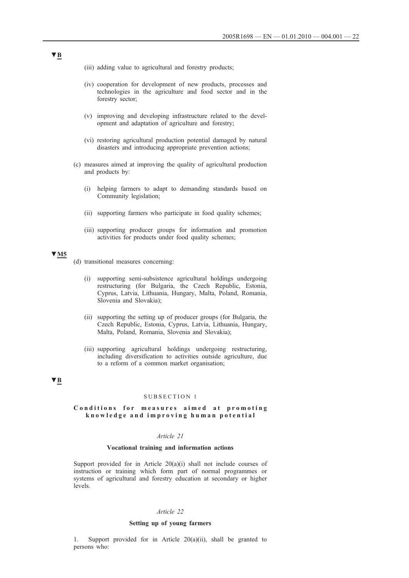- (iii) adding value to agricultural and forestry products;
- (iv) cooperation for development of new products, processes and technologies in the agriculture and food sector and in the forestry sector;
- (v) improving and developing infrastructure related to the development and adaptation of agriculture and forestry;
- (vi) restoring agricultural production potential damaged by natural disasters and introducing appropriate prevention actions;
- (c) measures aimed at improving the quality of agricultural production and products by:
	- (i) helping farmers to adapt to demanding standards based on Community legislation;
	- (ii) supporting farmers who participate in food quality schemes;
	- (iii) supporting producer groups for information and promotion activities for products under food quality schemes;

## **▼M5**

- (d) transitional measures concerning:
	- (i) supporting semi-subsistence agricultural holdings undergoing restructuring (for Bulgaria, the Czech Republic, Estonia, Cyprus, Latvia, Lithuania, Hungary, Malta, Poland, Romania, Slovenia and Slovakia);
	- (ii) supporting the setting up of producer groups (for Bulgaria, the Czech Republic, Estonia, Cyprus, Latvia, Lithuania, Hungary, Malta, Poland, Romania, Slovenia and Slovakia);
	- (iii) supporting agricultural holdings undergoing restructuring, including diversification to activities outside agriculture, due to a reform of a common market organisation;

## **▼B**

#### SUBSECTION 1

## **Conditions for measures aimed at promoting knowledge and improving human potential**

## *Article 21*

## **Vocational training and information actions**

Support provided for in Article  $20(a)(i)$  shall not include courses of instruction or training which form part of normal programmes or systems of agricultural and forestry education at secondary or higher levels.

## *Article 22*

#### **Setting up of young farmers**

1. Support provided for in Article 20(a)(ii), shall be granted to persons who: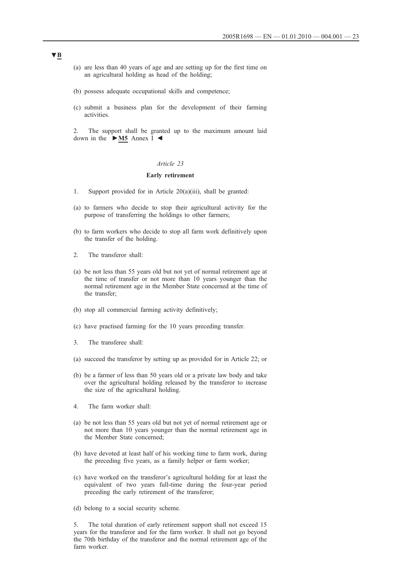- (a) are less than 40 years of age and are setting up for the first time on an agricultural holding as head of the holding;
- (b) possess adequate occupational skills and competence;
- (c) submit a business plan for the development of their farming activities.

2. The support shall be granted up to the maximum amount laid down in the **►M5** Annex I ◄

#### *Article 23*

### **Early retirement**

- 1. Support provided for in Article 20(a)(iii), shall be granted:
- (a) to farmers who decide to stop their agricultural activity for the purpose of transferring the holdings to other farmers;
- (b) to farm workers who decide to stop all farm work definitively upon the transfer of the holding.
- 2. The transferor shall:
- (a) be not less than 55 years old but not yet of normal retirement age at the time of transfer or not more than 10 years younger than the normal retirement age in the Member State concerned at the time of the transfer;
- (b) stop all commercial farming activity definitively;
- (c) have practised farming for the 10 years preceding transfer.
- 3. The transferee shall:
- (a) succeed the transferor by setting up as provided for in Article 22; or
- (b) be a farmer of less than 50 years old or a private law body and take over the agricultural holding released by the transferor to increase the size of the agricultural holding.
- 4. The farm worker shall:
- (a) be not less than 55 years old but not yet of normal retirement age or not more than 10 years younger than the normal retirement age in the Member State concerned;
- (b) have devoted at least half of his working time to farm work, during the preceding five years, as a family helper or farm worker;
- (c) have worked on the transferor's agricultural holding for at least the equivalent of two years full-time during the four-year period preceding the early retirement of the transferor;
- (d) belong to a social security scheme.

5. The total duration of early retirement support shall not exceed 15 years for the transferor and for the farm worker. It shall not go beyond the 70th birthday of the transferor and the normal retirement age of the farm worker.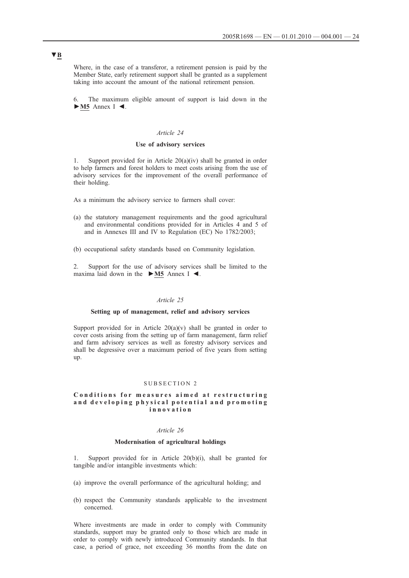Where, in the case of a transferor, a retirement pension is paid by the Member State, early retirement support shall be granted as a supplement taking into account the amount of the national retirement pension.

6. The maximum eligible amount of support is laid down in the **►M5** Annex I ◄.

#### *Article 24*

## **Use of advisory services**

1. Support provided for in Article  $20(a)(iv)$  shall be granted in order to help farmers and forest holders to meet costs arising from the use of advisory services for the improvement of the overall performance of their holding.

As a minimum the advisory service to farmers shall cover:

- (a) the statutory management requirements and the good agricultural and environmental conditions provided for in Articles 4 and 5 of and in Annexes III and IV to Regulation (EC) No 1782/2003;
- (b) occupational safety standards based on Community legislation.

2. Support for the use of advisory services shall be limited to the maxima laid down in the **►M5** Annex I ◄.

## *Article 25*

#### **Setting up of management, relief and advisory services**

Support provided for in Article  $20(a)(v)$  shall be granted in order to cover costs arising from the setting up of farm management, farm relief and farm advisory services as well as forestry advisory services and shall be degressive over a maximum period of five years from setting up.

#### SUBSECTION 2

#### **Conditions for measures aimed at restructuring and developing physical p otential and promoting innovation**

#### *Article 26*

#### **Modernisation of agricultural holdings**

Support provided for in Article  $20(b)(i)$ , shall be granted for tangible and/or intangible investments which:

- (a) improve the overall performance of the agricultural holding; and
- (b) respect the Community standards applicable to the investment concerned.

Where investments are made in order to comply with Community standards, support may be granted only to those which are made in order to comply with newly introduced Community standards. In that case, a period of grace, not exceeding 36 months from the date on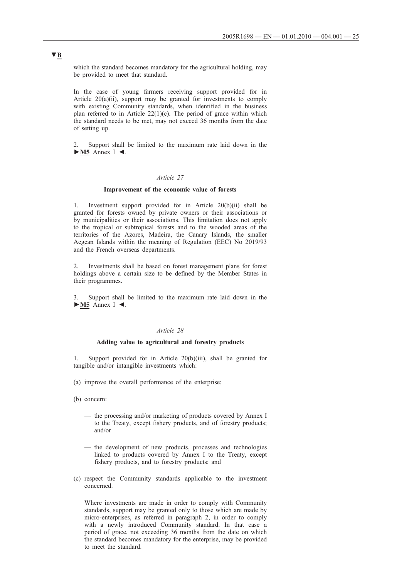which the standard becomes mandatory for the agricultural holding, may be provided to meet that standard.

In the case of young farmers receiving support provided for in Article 20(a)(ii), support may be granted for investments to comply with existing Community standards, when identified in the business plan referred to in Article  $22(1)(c)$ . The period of grace within which the standard needs to be met, may not exceed 36 months from the date of setting up.

2. Support shall be limited to the maximum rate laid down in the **►M5** Annex I ◄.

### *Article 27*

#### **Improvement of the economic value of forests**

1. Investment support provided for in Article 20(b)(ii) shall be granted for forests owned by private owners or their associations or by municipalities or their associations. This limitation does not apply to the tropical or subtropical forests and to the wooded areas of the territories of the Azores, Madeira, the Canary Islands, the smaller Aegean Islands within the meaning of Regulation (EEC) No 2019/93 and the French overseas departments.

2. Investments shall be based on forest management plans for forest holdings above a certain size to be defined by the Member States in their programmes.

3. Support shall be limited to the maximum rate laid down in the **►M5** Annex I ◄.

## *Article 28*

#### **Adding value to agricultural and forestry products**

1. Support provided for in Article 20(b)(iii), shall be granted for tangible and/or intangible investments which:

- (a) improve the overall performance of the enterprise;
- (b) concern:
	- the processing and/or marketing of products covered by Annex I to the Treaty, except fishery products, and of forestry products; and/or
	- the development of new products, processes and technologies linked to products covered by Annex I to the Treaty, except fishery products, and to forestry products; and
- (c) respect the Community standards applicable to the investment concerned.

Where investments are made in order to comply with Community standards, support may be granted only to those which are made by micro-enterprises, as referred in paragraph 2, in order to comply with a newly introduced Community standard. In that case a period of grace, not exceeding 36 months from the date on which the standard becomes mandatory for the enterprise, may be provided to meet the standard.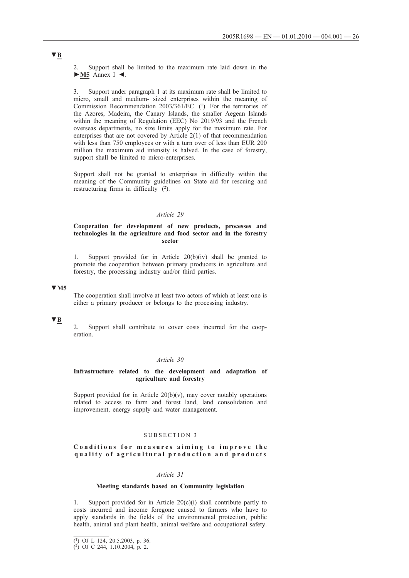Support shall be limited to the maximum rate laid down in the **►M5** Annex I ◄.

3. Support under paragraph 1 at its maximum rate shall be limited to micro, small and medium- sized enterprises within the meaning of Commission Recommendation 2003/361/EC (1). For the territories of the Azores, Madeira, the Canary Islands, the smaller Aegean Islands within the meaning of Regulation (EEC) No 2019/93 and the French overseas departments, no size limits apply for the maximum rate. For enterprises that are not covered by Article 2(1) of that recommendation with less than 750 employees or with a turn over of less than EUR 200 million the maximum aid intensity is halved. In the case of forestry, support shall be limited to micro-enterprises.

Support shall not be granted to enterprises in difficulty within the meaning of the Community guidelines on State aid for rescuing and restructuring firms in difficulty (2).

#### *Article 29*

### **Cooperation for development of new products, processes and technologies in the agriculture and food sector and in the forestry sector**

1. Support provided for in Article 20(b)(iv) shall be granted to promote the cooperation between primary producers in agriculture and forestry, the processing industry and/or third parties.

## **▼M5**

The cooperation shall involve at least two actors of which at least one is either a primary producer or belongs to the processing industry.

## **▼B**

2. Support shall contribute to cover costs incurred for the cooperation.

### *Article 30*

### **Infrastructure related to the development and adaptation of agriculture and forestry**

Support provided for in Article  $20(b)(v)$ , may cover notably operations related to access to farm and forest land, land consolidation and improvement, energy supply and water management.

#### SUBSECTION 3

## **Conditions for measures aiming to improve the quality of agricultural production and products**

### *Article 31*

### **Meeting standards based on Community legislation**

Support provided for in Article  $20(c)(i)$  shall contribute partly to costs incurred and income foregone caused to farmers who have to apply standards in the fields of the environmental protection, public health, animal and plant health, animal welfare and occupational safety.

<sup>(1)</sup> OJ L 124, 20.5.2003, p. 36.

<sup>(2)</sup> OJ C 244, 1.10.2004, p. 2.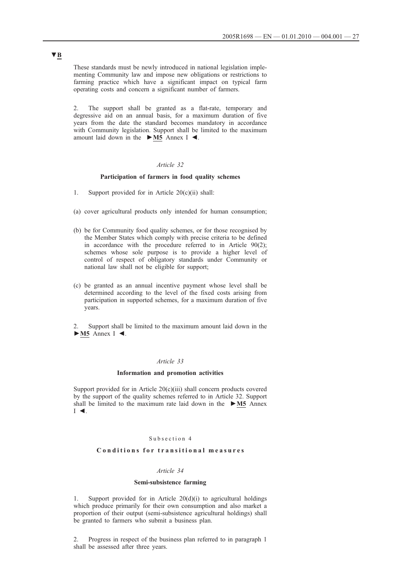These standards must be newly introduced in national legislation implementing Community law and impose new obligations or restrictions to farming practice which have a significant impact on typical farm operating costs and concern a significant number of farmers.

2. The support shall be granted as a flat-rate, temporary and degressive aid on an annual basis, for a maximum duration of five years from the date the standard becomes mandatory in accordance with Community legislation. Support shall be limited to the maximum amount laid down in the **►M5** Annex I ◄.

### *Article 32*

## **Participation of farmers in food quality schemes**

- 1. Support provided for in Article 20(c)(ii) shall:
- (a) cover agricultural products only intended for human consumption;
- (b) be for Community food quality schemes, or for those recognised by the Member States which comply with precise criteria to be defined in accordance with the procedure referred to in Article 90(2); schemes whose sole purpose is to provide a higher level of control of respect of obligatory standards under Community or national law shall not be eligible for support;
- (c) be granted as an annual incentive payment whose level shall be determined according to the level of the fixed costs arising from participation in supported schemes, for a maximum duration of five years.
- Support shall be limited to the maximum amount laid down in the **►M5** Annex I ◄.

### *Article 33*

#### **Information and promotion activities**

Support provided for in Article 20(c)(iii) shall concern products covered by the support of the quality schemes referred to in Article 32. Support shall be limited to the maximum rate laid down in the **►M5** Annex I ◄.

## Subsection 4

## **Conditions for transitional measures**

### *Article 34*

#### **Semi-subsistence farming**

1. Support provided for in Article 20(d)(i) to agricultural holdings which produce primarily for their own consumption and also market a proportion of their output (semi-subsistence agricultural holdings) shall be granted to farmers who submit a business plan.

2. Progress in respect of the business plan referred to in paragraph 1 shall be assessed after three years.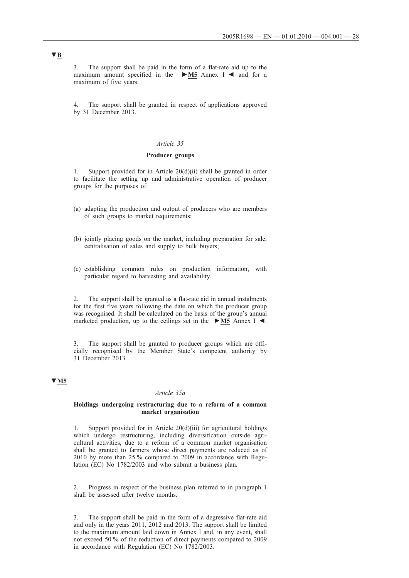3. The support shall be paid in the form of a flat-rate aid up to the maximum amount specified in the **►M5** Annex I ◄ and for a maximum of five years.

4. The support shall be granted in respect of applications approved by 31 December 2013.

#### *Article 35*

## **Producer groups**

Support provided for in Article 20(d)(ii) shall be granted in order to facilitate the setting up and administrative operation of producer groups for the purposes of:

- (a) adapting the production and output of producers who are members of such groups to market requirements;
- (b) jointly placing goods on the market, including preparation for sale, centralisation of sales and supply to bulk buyers;
- (c) establishing common rules on production information, with particular regard to harvesting and availability.

2. The support shall be granted as a flat-rate aid in annual instalments for the first five years following the date on which the producer group was recognised. It shall be calculated on the basis of the group's annual marketed production, up to the ceilings set in the **►M5** Annex I ◄.

3. The support shall be granted to producer groups which are officially recognised by the Member State's competent authority by 31 December 2013.

## **▼M5**

#### *Article 35a*

#### **Holdings undergoing restructuring due to a reform of a common market organisation**

1. Support provided for in Article 20(d)(iii) for agricultural holdings which undergo restructuring, including diversification outside agricultural activities, due to a reform of a common market organisation shall be granted to farmers whose direct payments are reduced as of 2010 by more than 25 % compared to 2009 in accordance with Regulation (EC) No 1782/2003 and who submit a business plan.

2. Progress in respect of the business plan referred to in paragraph 1 shall be assessed after twelve months.

3. The support shall be paid in the form of a degressive flat-rate aid and only in the years 2011, 2012 and 2013. The support shall be limited to the maximum amount laid down in Annex I and, in any event, shall not exceed 50 % of the reduction of direct payments compared to 2009 in accordance with Regulation (EC) No 1782/2003.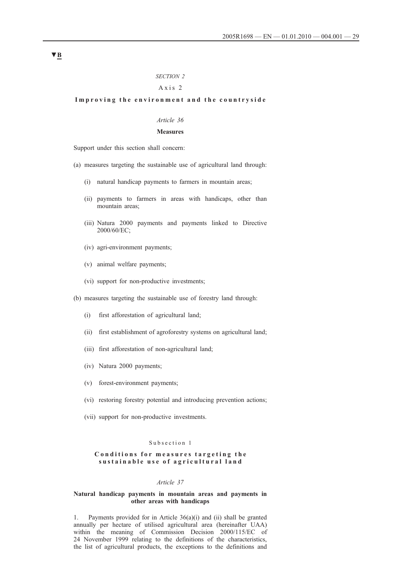## *SECTION 2*

## Axis 2

#### **Improving the environment and the countryside**

## *Article 36*

## **Measures**

Support under this section shall concern:

- (a) measures targeting the sustainable use of agricultural land through:
	- (i) natural handicap payments to farmers in mountain areas;
	- (ii) payments to farmers in areas with handicaps, other than mountain areas;
	- (iii) Natura 2000 payments and payments linked to Directive 2000/60/EC;
	- (iv) agri-environment payments;
	- (v) animal welfare payments;
	- (vi) support for non-productive investments;

(b) measures targeting the sustainable use of forestry land through:

- (i) first afforestation of agricultural land;
- (ii) first establishment of agroforestry systems on agricultural land;
- (iii) first afforestation of non-agricultural land;
- (iv) Natura 2000 payments;
- (v) forest-environment payments;
- (vi) restoring forestry potential and introducing prevention actions;
- (vii) support for non-productive investments.

#### Subsection 1

### **Conditions for measures targeting the sustainable use of agricultural land**

#### *Article 37*

### **Natural handicap payments in mountain areas and payments in other areas with handicaps**

1. Payments provided for in Article  $36(a)(i)$  and (ii) shall be granted annually per hectare of utilised agricultural area (hereinafter UAA) within the meaning of Commission Decision 2000/115/EC of 24 November 1999 relating to the definitions of the characteristics, the list of agricultural products, the exceptions to the definitions and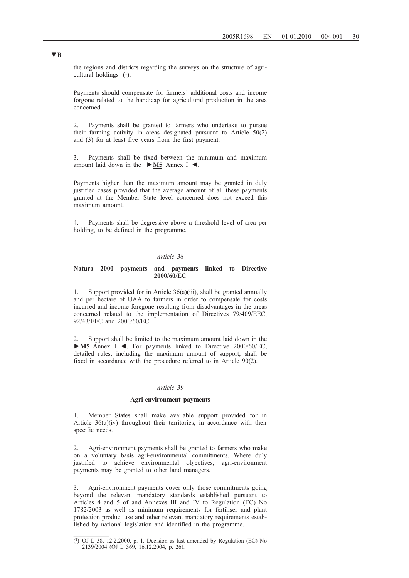the regions and districts regarding the surveys on the structure of agricultural holdings  $(1)$ .

Payments should compensate for farmers' additional costs and income forgone related to the handicap for agricultural production in the area concerned.

2. Payments shall be granted to farmers who undertake to pursue their farming activity in areas designated pursuant to Article 50(2) and (3) for at least five years from the first payment.

3. Payments shall be fixed between the minimum and maximum amount laid down in the **►M5** Annex I ◄.

Payments higher than the maximum amount may be granted in duly justified cases provided that the average amount of all these payments granted at the Member State level concerned does not exceed this maximum amount.

4. Payments shall be degressive above a threshold level of area per holding, to be defined in the programme.

### *Article 38*

### **Natura 2000 payments and payments linked to Directive 2000/60/EC**

1. Support provided for in Article 36(a)(iii), shall be granted annually and per hectare of UAA to farmers in order to compensate for costs incurred and income foregone resulting from disadvantages in the areas concerned related to the implementation of Directives 79/409/EEC, 92/43/EEC and 2000/60/EC.

2. Support shall be limited to the maximum amount laid down in the **►M5** Annex I ◄. For payments linked to Directive 2000/60/EC, detailed rules, including the maximum amount of support, shall be fixed in accordance with the procedure referred to in Article 90(2).

### *Article 39*

#### **Agri-environment payments**

1. Member States shall make available support provided for in Article 36(a)(iv) throughout their territories, in accordance with their specific needs.

2. Agri-environment payments shall be granted to farmers who make on a voluntary basis agri-environmental commitments. Where duly justified to achieve environmental objectives, agri-environment payments may be granted to other land managers.

3. Agri-environment payments cover only those commitments going beyond the relevant mandatory standards established pursuant to Articles 4 and 5 of and Annexes III and IV to Regulation (EC) No 1782/2003 as well as minimum requirements for fertiliser and plant protection product use and other relevant mandatory requirements established by national legislation and identified in the programme.

 $(1)$  OJ L 38, 12.2.2000, p. 1. Decision as last amended by Regulation (EC) No 2139/2004 (OJ L 369, 16.12.2004, p. 26).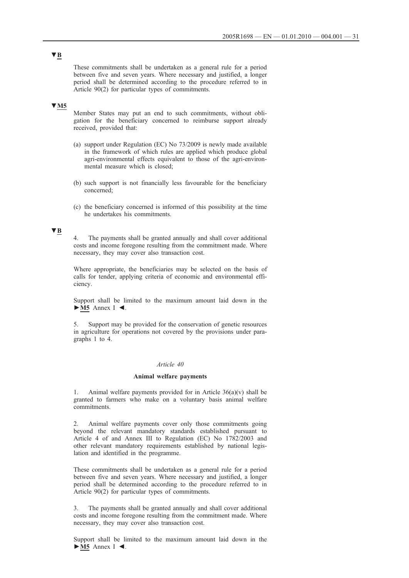These commitments shall be undertaken as a general rule for a period between five and seven years. Where necessary and justified, a longer period shall be determined according to the procedure referred to in Article 90(2) for particular types of commitments.

## **▼M5**

Member States may put an end to such commitments, without obligation for the beneficiary concerned to reimburse support already received, provided that:

- (a) support under Regulation (EC) No 73/2009 is newly made available in the framework of which rules are applied which produce global agri-environmental effects equivalent to those of the agri-environmental measure which is closed;
- (b) such support is not financially less favourable for the beneficiary concerned;
- (c) the beneficiary concerned is informed of this possibility at the time he undertakes his commitments.

## **▼B**

4. The payments shall be granted annually and shall cover additional costs and income foregone resulting from the commitment made. Where necessary, they may cover also transaction cost.

Where appropriate, the beneficiaries may be selected on the basis of calls for tender, applying criteria of economic and environmental efficiency.

Support shall be limited to the maximum amount laid down in the **►M5** Annex I ◄.

5. Support may be provided for the conservation of genetic resources in agriculture for operations not covered by the provisions under paragraphs 1 to 4.

## *Article 40*

#### **Animal welfare payments**

Animal welfare payments provided for in Article  $36(a)(v)$  shall be granted to farmers who make on a voluntary basis animal welfare commitments.

2. Animal welfare payments cover only those commitments going beyond the relevant mandatory standards established pursuant to Article 4 of and Annex III to Regulation (EC) No 1782/2003 and other relevant mandatory requirements established by national legislation and identified in the programme.

These commitments shall be undertaken as a general rule for a period between five and seven years. Where necessary and justified, a longer period shall be determined according to the procedure referred to in Article 90(2) for particular types of commitments.

3. The payments shall be granted annually and shall cover additional costs and income foregone resulting from the commitment made. Where necessary, they may cover also transaction cost.

Support shall be limited to the maximum amount laid down in the **►M5** Annex I ◄.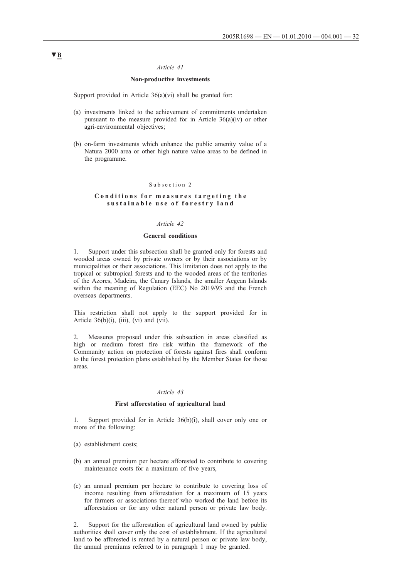### *Article 41*

## **Non-productive investments**

Support provided in Article  $36(a)(vi)$  shall be granted for:

- (a) investments linked to the achievement of commitments undertaken pursuant to the measure provided for in Article 36(a)(iv) or other agri-environmental objectives;
- (b) on-farm investments which enhance the public amenity value of a Natura 2000 area or other high nature value areas to be defined in the programme.

#### Subsection 2

### **Conditions for measures targeting the sustainable use of forestry land**

## *Article 42*

### **General conditions**

1. Support under this subsection shall be granted only for forests and wooded areas owned by private owners or by their associations or by municipalities or their associations. This limitation does not apply to the tropical or subtropical forests and to the wooded areas of the territories of the Azores, Madeira, the Canary Islands, the smaller Aegean Islands within the meaning of Regulation (EEC) No 2019/93 and the French overseas departments.

This restriction shall not apply to the support provided for in Article 36(b)(i), (iii), (vi) and (vii).

2. Measures proposed under this subsection in areas classified as high or medium forest fire risk within the framework of the Community action on protection of forests against fires shall conform to the forest protection plans established by the Member States for those areas.

#### *Article 43*

#### **First afforestation of agricultural land**

1. Support provided for in Article 36(b)(i), shall cover only one or more of the following:

- (a) establishment costs;
- (b) an annual premium per hectare afforested to contribute to covering maintenance costs for a maximum of five years,
- (c) an annual premium per hectare to contribute to covering loss of income resulting from afforestation for a maximum of 15 years for farmers or associations thereof who worked the land before its afforestation or for any other natural person or private law body.

2. Support for the afforestation of agricultural land owned by public authorities shall cover only the cost of establishment. If the agricultural land to be afforested is rented by a natural person or private law body, the annual premiums referred to in paragraph 1 may be granted.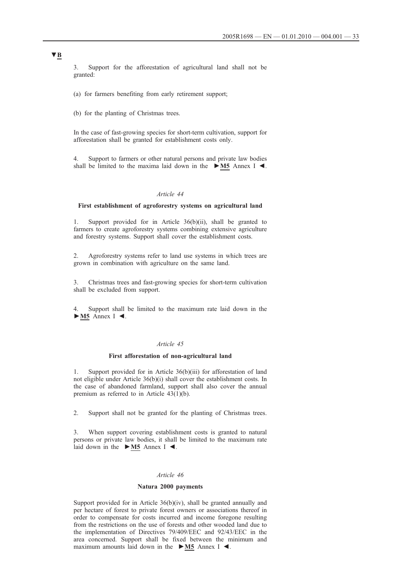3. Support for the afforestation of agricultural land shall not be granted:

(a) for farmers benefiting from early retirement support;

(b) for the planting of Christmas trees.

In the case of fast-growing species for short-term cultivation, support for afforestation shall be granted for establishment costs only.

4. Support to farmers or other natural persons and private law bodies shall be limited to the maxima laid down in the **►M5** Annex I ◄.

#### *Article 44*

#### **First establishment of agroforestry systems on agricultural land**

1. Support provided for in Article 36(b)(ii), shall be granted to farmers to create agroforestry systems combining extensive agriculture and forestry systems. Support shall cover the establishment costs.

2. Agroforestry systems refer to land use systems in which trees are grown in combination with agriculture on the same land.

3. Christmas trees and fast-growing species for short-term cultivation shall be excluded from support.

4. Support shall be limited to the maximum rate laid down in the **►M5** Annex I ◄.

#### *Article 45*

#### **First afforestation of non-agricultural land**

1. Support provided for in Article 36(b)(iii) for afforestation of land not eligible under Article 36(b)(i) shall cover the establishment costs. In the case of abandoned farmland, support shall also cover the annual premium as referred to in Article 43(1)(b).

2. Support shall not be granted for the planting of Christmas trees.

3. When support covering establishment costs is granted to natural persons or private law bodies, it shall be limited to the maximum rate laid down in the **►M5** Annex I ◄.

#### *Article 46*

### **Natura 2000 payments**

Support provided for in Article 36(b)(iv), shall be granted annually and per hectare of forest to private forest owners or associations thereof in order to compensate for costs incurred and income foregone resulting from the restrictions on the use of forests and other wooded land due to the implementation of Directives 79/409/EEC and 92/43/EEC in the area concerned. Support shall be fixed between the minimum and maximum amounts laid down in the **►M5** Annex I ◄.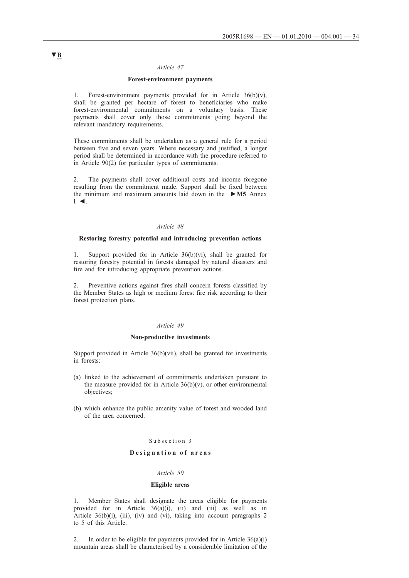#### *Article 47*

#### **Forest-environment payments**

1. Forest-environment payments provided for in Article  $36(b)(v)$ , shall be granted per hectare of forest to beneficiaries who make forest-environmental commitments on a voluntary basis. These payments shall cover only those commitments going beyond the relevant mandatory requirements.

These commitments shall be undertaken as a general rule for a period between five and seven years. Where necessary and justified, a longer period shall be determined in accordance with the procedure referred to in Article 90(2) for particular types of commitments.

2. The payments shall cover additional costs and income foregone resulting from the commitment made. Support shall be fixed between the minimum and maximum amounts laid down in the **►M5** Annex  $I \blacktriangleleft$ .

#### *Article 48*

#### **Restoring forestry potential and introducing prevention actions**

1. Support provided for in Article 36(b)(vi), shall be granted for restoring forestry potential in forests damaged by natural disasters and fire and for introducing appropriate prevention actions.

2. Preventive actions against fires shall concern forests classified by the Member States as high or medium forest fire risk according to their forest protection plans.

#### *Article 49*

#### **Non-productive investments**

Support provided in Article 36(b)(vii), shall be granted for investments in forests:

- (a) linked to the achievement of commitments undertaken pursuant to the measure provided for in Article  $36(b)(v)$ , or other environmental objectives;
- (b) which enhance the public amenity value of forest and wooded land of the area concerned.

## Subsection 3

## **Designation of areas**

#### *Article 50*

## **Eligible areas**

1. Member States shall designate the areas eligible for payments provided for in Article 36(a)(i), (ii) and (iii) as well as in Article  $36(b)(i)$ , (iii), (iv) and (vi), taking into account paragraphs 2 to 5 of this Article.

2. In order to be eligible for payments provided for in Article  $36(a)(i)$ mountain areas shall be characterised by a considerable limitation of the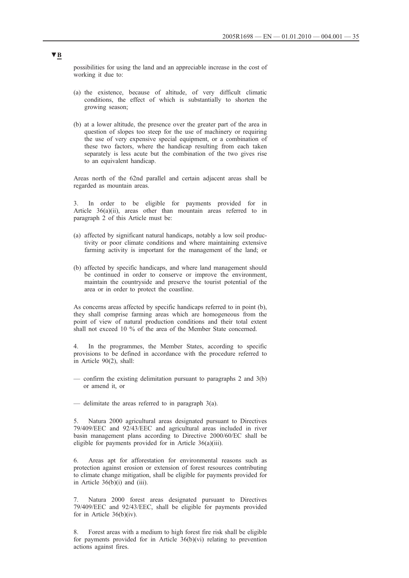possibilities for using the land and an appreciable increase in the cost of working it due to:

- (a) the existence, because of altitude, of very difficult climatic conditions, the effect of which is substantially to shorten the growing season;
- (b) at a lower altitude, the presence over the greater part of the area in question of slopes too steep for the use of machinery or requiring the use of very expensive special equipment, or a combination of these two factors, where the handicap resulting from each taken separately is less acute but the combination of the two gives rise to an equivalent handicap.

Areas north of the 62nd parallel and certain adjacent areas shall be regarded as mountain areas.

In order to be eligible for payments provided for in Article 36(a)(ii), areas other than mountain areas referred to in paragraph 2 of this Article must be:

- (a) affected by significant natural handicaps, notably a low soil productivity or poor climate conditions and where maintaining extensive farming activity is important for the management of the land; or
- (b) affected by specific handicaps, and where land management should be continued in order to conserve or improve the environment, maintain the countryside and preserve the tourist potential of the area or in order to protect the coastline.

As concerns areas affected by specific handicaps referred to in point (b), they shall comprise farming areas which are homogeneous from the point of view of natural production conditions and their total extent shall not exceed 10 % of the area of the Member State concerned.

In the programmes, the Member States, according to specific provisions to be defined in accordance with the procedure referred to in Article 90(2), shall:

- confirm the existing delimitation pursuant to paragraphs 2 and 3(b) or amend it, or
- delimitate the areas referred to in paragraph  $3(a)$ .

5. Natura 2000 agricultural areas designated pursuant to Directives 79/409/EEC and 92/43/EEC and agricultural areas included in river basin management plans according to Directive 2000/60/EC shall be eligible for payments provided for in Article 36(a)(iii).

6. Areas apt for afforestation for environmental reasons such as protection against erosion or extension of forest resources contributing to climate change mitigation, shall be eligible for payments provided for in Article 36(b)(i) and (iii).

7. Natura 2000 forest areas designated pursuant to Directives 79/409/EEC and 92/43/EEC, shall be eligible for payments provided for in Article 36(b)(iv).

8. Forest areas with a medium to high forest fire risk shall be eligible for payments provided for in Article 36(b)(vi) relating to prevention actions against fires.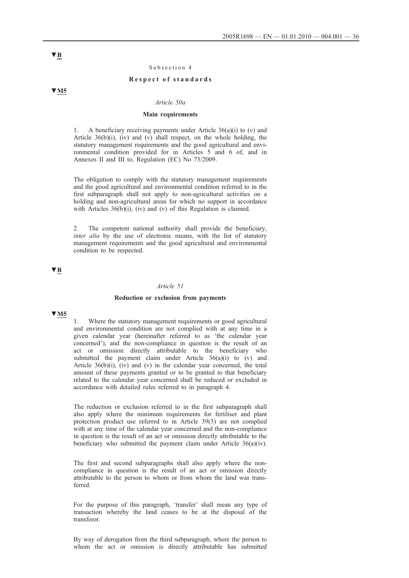#### Subsection 4

#### **Respect of standards**

**▼M5**

#### *Article 50a*

## **Main requirements**

1. A beneficiary receiving payments under Article 36(a)(i) to (v) and Article 36(b)(i), (iv) and (v) shall respect, on the whole holding, the statutory management requirements and the good agricultural and environmental condition provided for in Articles 5 and 6 of, and in Annexes II and III to, Regulation (EC) No 73/2009.

The obligation to comply with the statutory management requirements and the good agricultural and environmental condition referred to in the first subparagraph shall not apply to non-agricultural activities on a holding and non-agricultural areas for which no support in accordance with Articles 36(b)(i), (iv) and (v) of this Regulation is claimed.

2. The competent national authority shall provide the beneficiary, *inter alia* by the use of electronic means, with the list of statutory management requirements and the good agricultural and environmental condition to be respected.

## **▼B**

#### *Article 51*

#### **Reduction or exclusion from payments**

## **▼M5**

1. Where the statutory management requirements or good agricultural and environmental condition are not complied with at any time in a given calendar year (hereinafter referred to as 'the calendar year concerned'), and the non-compliance in question is the result of an act or omission directly attributable to the beneficiary who submitted the payment claim under Article  $36(a)(i)$  to (v) and Article  $36(b)(i)$ , (iv) and (v) in the calendar year concerned, the total amount of these payments granted or to be granted to that beneficiary related to the calendar year concerned shall be reduced or excluded in accordance with detailed rules referred to in paragraph 4.

The reduction or exclusion referred to in the first subparagraph shall also apply where the minimum requirements for fertiliser and plant protection product use referred to in Article 39(3) are not complied with at any time of the calendar year concerned and the non-compliance in question is the result of an act or omission directly attributable to the beneficiary who submitted the payment claim under Article 36(a)(iv).

The first and second subparagraphs shall also apply where the noncompliance in question is the result of an act or omission directly attributable to the person to whom or from whom the land was transferred.

For the purpose of this paragraph, 'transfer' shall mean any type of transaction whereby the land ceases to be at the disposal of the transferor.

By way of derogation from the third subparagraph, where the person to whom the act or omission is directly attributable has submitted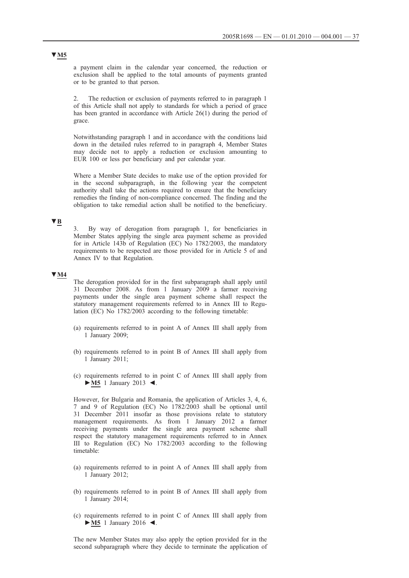a payment claim in the calendar year concerned, the reduction or exclusion shall be applied to the total amounts of payments granted or to be granted to that person.

2. The reduction or exclusion of payments referred to in paragraph 1 of this Article shall not apply to standards for which a period of grace has been granted in accordance with Article 26(1) during the period of grace.

Notwithstanding paragraph 1 and in accordance with the conditions laid down in the detailed rules referred to in paragraph 4, Member States may decide not to apply a reduction or exclusion amounting to EUR 100 or less per beneficiary and per calendar year.

Where a Member State decides to make use of the option provided for in the second subparagraph, in the following year the competent authority shall take the actions required to ensure that the beneficiary remedies the finding of non-compliance concerned. The finding and the obligation to take remedial action shall be notified to the beneficiary.

## **▼B**

3. By way of derogation from paragraph 1, for beneficiaries in Member States applying the single area payment scheme as provided for in Article 143b of Regulation (EC) No 1782/2003, the mandatory requirements to be respected are those provided for in Article 5 of and Annex IV to that Regulation.

## **▼M4**

The derogation provided for in the first subparagraph shall apply until 31 December 2008. As from 1 January 2009 a farmer receiving payments under the single area payment scheme shall respect the statutory management requirements referred to in Annex III to Regulation (EC) No 1782/2003 according to the following timetable:

- (a) requirements referred to in point A of Annex III shall apply from 1 January 2009;
- (b) requirements referred to in point B of Annex III shall apply from 1 January 2011;
- (c) requirements referred to in point C of Annex III shall apply from **►M5** 1 January 2013 ◄.

However, for Bulgaria and Romania, the application of Articles 3, 4, 6, 7 and 9 of Regulation (EC) No 1782/2003 shall be optional until 31 December 2011 insofar as those provisions relate to statutory management requirements. As from 1 January 2012 a farmer receiving payments under the single area payment scheme shall respect the statutory management requirements referred to in Annex III to Regulation (EC) No 1782/2003 according to the following timetable:

- (a) requirements referred to in point A of Annex III shall apply from 1 January 2012;
- (b) requirements referred to in point B of Annex III shall apply from 1 January 2014;
- (c) requirements referred to in point C of Annex III shall apply from **►M5** 1 January 2016 ◄.

The new Member States may also apply the option provided for in the second subparagraph where they decide to terminate the application of

## **▼M5**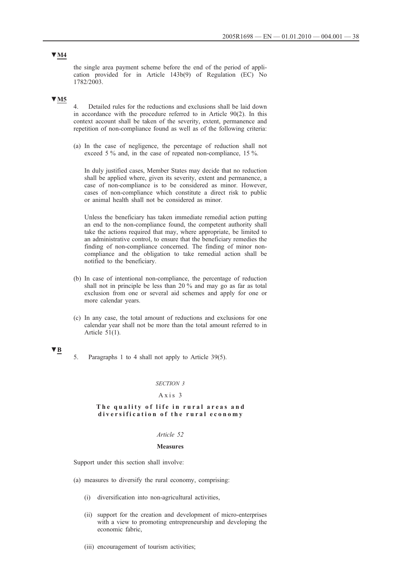the single area payment scheme before the end of the period of application provided for in Article 143b(9) of Regulation (EC) No 1782/2003.

## **▼M5**

4. Detailed rules for the reductions and exclusions shall be laid down in accordance with the procedure referred to in Article 90(2). In this context account shall be taken of the severity, extent, permanence and repetition of non-compliance found as well as of the following criteria:

(a) In the case of negligence, the percentage of reduction shall not exceed 5 % and, in the case of repeated non-compliance, 15 %.

In duly justified cases, Member States may decide that no reduction shall be applied where, given its severity, extent and permanence, a case of non-compliance is to be considered as minor. However, cases of non-compliance which constitute a direct risk to public or animal health shall not be considered as minor.

Unless the beneficiary has taken immediate remedial action putting an end to the non-compliance found, the competent authority shall take the actions required that may, where appropriate, be limited to an administrative control, to ensure that the beneficiary remedies the finding of non-compliance concerned. The finding of minor noncompliance and the obligation to take remedial action shall be notified to the beneficiary.

- (b) In case of intentional non-compliance, the percentage of reduction shall not in principle be less than 20 % and may go as far as total exclusion from one or several aid schemes and apply for one or more calendar years.
- (c) In any case, the total amount of reductions and exclusions for one calendar year shall not be more than the total amount referred to in Article 51(1).

## **▼B**

5. Paragraphs 1 to 4 shall not apply to Article 39(5).

#### *SECTION 3*

### Axis 3

#### **The quality of life in rural areas and diversification of the rural economy**

## *Article 52*

#### **Measures**

Support under this section shall involve:

- (a) measures to diversify the rural economy, comprising:
	- (i) diversification into non-agricultural activities,
	- (ii) support for the creation and development of micro-enterprises with a view to promoting entrepreneurship and developing the economic fabric,
	- (iii) encouragement of tourism activities;

## **▼M4**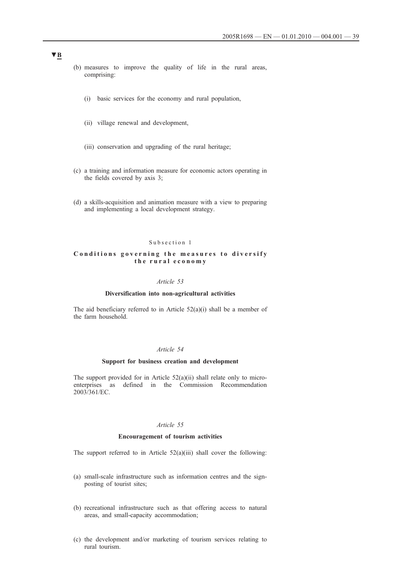- (b) measures to improve the quality of life in the rural areas, comprising:
	- (i) basic services for the economy and rural population,
	- (ii) village renewal and development,
	- (iii) conservation and upgrading of the rural heritage;
- (c) a training and information measure for economic actors operating in the fields covered by axis 3;
- (d) a skills-acquisition and animation measure with a view to preparing and implementing a local development strategy.

#### Subsection 1

## Conditions governing the measures to diversify **the rural economy**

### *Article 53*

### **Diversification into non-agricultural activities**

The aid beneficiary referred to in Article  $52(a)(i)$  shall be a member of the farm household.

### *Article 54*

## **Support for business creation and development**

The support provided for in Article  $52(a)(ii)$  shall relate only to microenterprises as defined in the Commission Recommendation 2003/361/EC.

## *Article 55*

### **Encouragement of tourism activities**

The support referred to in Article 52(a)(iii) shall cover the following:

- (a) small-scale infrastructure such as information centres and the signposting of tourist sites;
- (b) recreational infrastructure such as that offering access to natural areas, and small-capacity accommodation;
- (c) the development and/or marketing of tourism services relating to rural tourism.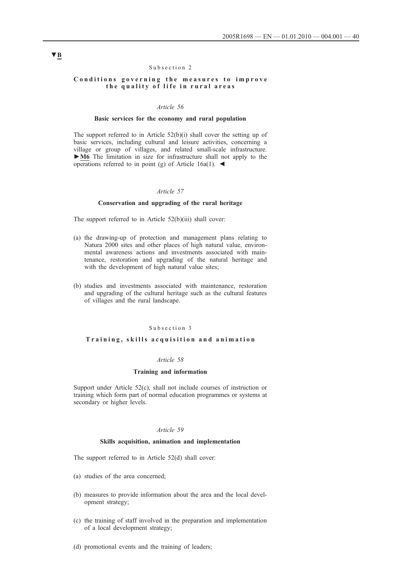#### Subsection 2

### **Conditions governing the measures to improve the quality of life in rural areas**

#### *Article 56*

#### **Basic services for the economy and rural population**

The support referred to in Article 52(b)(i) shall cover the setting up of basic services, including cultural and leisure activities, concerning a village or group of villages, and related small-scale infrastructure. **►M6** The limitation in size for infrastructure shall not apply to the operations referred to in point (g) of Article 16a(1).  $\blacktriangleleft$ 

## *Article 57*

### **Conservation and upgrading of the rural heritage**

The support referred to in Article 52(b)(iii) shall cover:

- (a) the drawing-up of protection and management plans relating to Natura 2000 sites and other places of high natural value, environmental awareness actions and investments associated with maintenance, restoration and upgrading of the natural heritage and with the development of high natural value sites;
- (b) studies and investments associated with maintenance, restoration and upgrading of the cultural heritage such as the cultural features of villages and the rural landscape.

### Subsection 3

### **Training, skills acquisition and animation**

#### *Article 58*

### **Training and information**

Support under Article 52(c), shall not include courses of instruction or training which form part of normal education programmes or systems at secondary or higher levels.

#### *Article 59*

#### **Skills acquisition, animation and implementation**

The support referred to in Article 52(d) shall cover:

- (a) studies of the area concerned;
- (b) measures to provide information about the area and the local development strategy;
- (c) the training of staff involved in the preparation and implementation of a local development strategy;
- (d) promotional events and the training of leaders;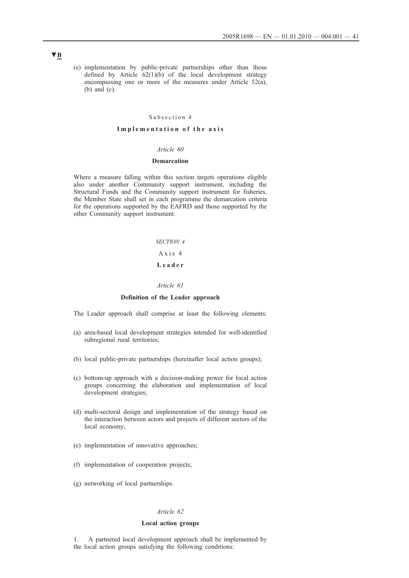(e) implementation by public-private partnerships other than those defined by Article  $62(1)(b)$  of the local development strategy encompassing one or more of the measures under Article 52(a), (b) and (c).

#### Subsection 4

#### **Implementation of the axis**

#### *Article 60*

## **Demarcation**

Where a measure falling within this section targets operations eligible also under another Community support instrument, including the Structural Funds and the Community support instrument for fisheries, the Member State shall set in each programme the demarcation criteria for the operations supported by the EAFRD and those supported by the other Community support instrument.

> *SECTION 4* Axis 4 **Leader**

### *Article 61*

## **Definition of the Leader approach**

The Leader approach shall comprise at least the following elements:

- (a) area-based local development strategies intended for well-identified subregional rural territories;
- (b) local public-private partnerships (hereinafter local action groups);
- (c) bottom-up approach with a decision-making power for local action groups concerning the elaboration and implementation of local development strategies;
- (d) multi-sectoral design and implementation of the strategy based on the interaction between actors and projects of different sectors of the local economy;
- (e) implementation of innovative approaches;
- (f) implementation of cooperation projects;
- (g) networking of local partnerships.

## *Article 62*

## **Local action groups**

1. A partnered local development approach shall be implemented by the local action groups satisfying the following conditions: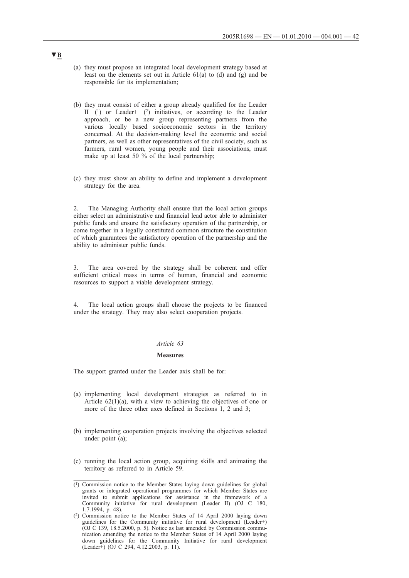- (a) they must propose an integrated local development strategy based at least on the elements set out in Article 61(a) to (d) and (g) and be responsible for its implementation;
- (b) they must consist of either a group already qualified for the Leader II  $(1)$  or Leader+  $(2)$  initiatives, or according to the Leader approach, or be a new group representing partners from the various locally based socioeconomic sectors in the territory concerned. At the decision-making level the economic and social partners, as well as other representatives of the civil society, such as farmers, rural women, young people and their associations, must make up at least 50 % of the local partnership;
- (c) they must show an ability to define and implement a development strategy for the area.

2. The Managing Authority shall ensure that the local action groups either select an administrative and financial lead actor able to administer public funds and ensure the satisfactory operation of the partnership, or come together in a legally constituted common structure the constitution of which guarantees the satisfactory operation of the partnership and the ability to administer public funds.

3. The area covered by the strategy shall be coherent and offer sufficient critical mass in terms of human, financial and economic resources to support a viable development strategy.

4. The local action groups shall choose the projects to be financed under the strategy. They may also select cooperation projects.

## *Article 63*

#### **Measures**

The support granted under the Leader axis shall be for:

- (a) implementing local development strategies as referred to in Article  $62(1)(a)$ , with a view to achieving the objectives of one or more of the three other axes defined in Sections 1, 2 and 3;
- (b) implementing cooperation projects involving the objectives selected under point (a);
- (c) running the local action group, acquiring skills and animating the territory as referred to in Article 59.

 $\overline{(^1)}$  Commission notice to the Member States laying down guidelines for global grants or integrated operational programmes for which Member States are invited to submit applications for assistance in the framework of a Community initiative for rural development (Leader II) (OJ C 180, 1.7.1994, p. 48).

<sup>(2)</sup> Commission notice to the Member States of 14 April 2000 laying down guidelines for the Community initiative for rural development (Leader+) (OJ C 139, 18.5.2000, p. 5). Notice as last amended by Commission communication amending the notice to the Member States of 14 April 2000 laying down guidelines for the Community Initiative for rural development (Leader+) (OJ C 294, 4.12.2003, p. 11).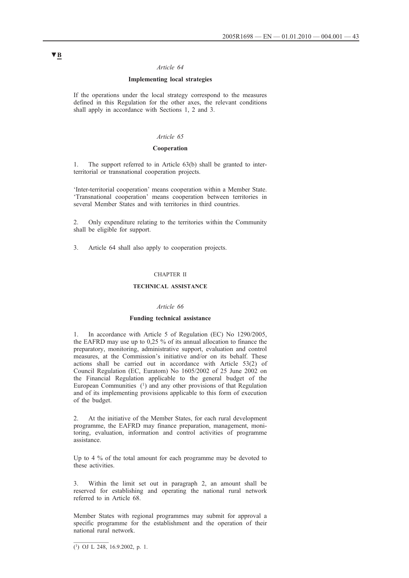#### *Article 64*

## **Implementing local strategies**

If the operations under the local strategy correspond to the measures defined in this Regulation for the other axes, the relevant conditions shall apply in accordance with Sections 1, 2 and 3.

### *Article 65*

### **Cooperation**

1. The support referred to in Article 63(b) shall be granted to interterritorial or transnational cooperation projects.

'Inter-territorial cooperation' means cooperation within a Member State. 'Transnational cooperation' means cooperation between territories in several Member States and with territories in third countries.

2. Only expenditure relating to the territories within the Community shall be eligible for support.

3. Article 64 shall also apply to cooperation projects.

### CHAPTER II

### **TECHNICAL ASSISTANCE**

### *Article 66*

### **Funding technical assistance**

1. In accordance with Article 5 of Regulation (EC) No 1290/2005, the EAFRD may use up to 0,25 % of its annual allocation to finance the preparatory, monitoring, administrative support, evaluation and control measures, at the Commission's initiative and/or on its behalf. These actions shall be carried out in accordance with Article 53(2) of Council Regulation (EC, Euratom) No 1605/2002 of 25 June 2002 on the Financial Regulation applicable to the general budget of the European Communities  $(1)$  and any other provisions of that Regulation and of its implementing provisions applicable to this form of execution of the budget.

2. At the initiative of the Member States, for each rural development programme, the EAFRD may finance preparation, management, monitoring, evaluation, information and control activities of programme assistance.

Up to 4 % of the total amount for each programme may be devoted to these activities.

3. Within the limit set out in paragraph 2, an amount shall be reserved for establishing and operating the national rural network referred to in Article 68.

Member States with regional programmes may submit for approval a specific programme for the establishment and the operation of their national rural network.

 $\overline{(^1)}$  OJ L 248, 16.9.2002, p. 1.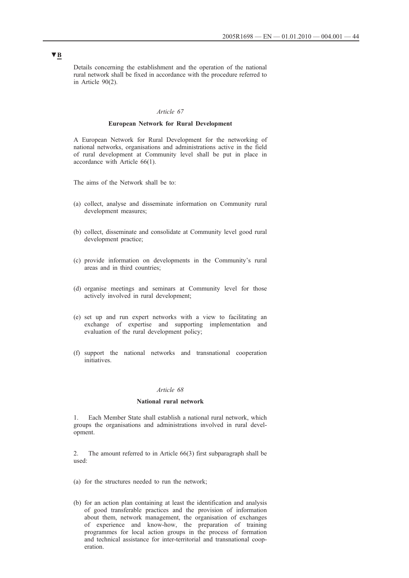Details concerning the establishment and the operation of the national rural network shall be fixed in accordance with the procedure referred to in Article 90(2).

### *Article 67*

## **European Network for Rural Development**

A European Network for Rural Development for the networking of national networks, organisations and administrations active in the field of rural development at Community level shall be put in place in accordance with Article 66(1).

The aims of the Network shall be to:

- (a) collect, analyse and disseminate information on Community rural development measures;
- (b) collect, disseminate and consolidate at Community level good rural development practice;
- (c) provide information on developments in the Community's rural areas and in third countries;
- (d) organise meetings and seminars at Community level for those actively involved in rural development;
- (e) set up and run expert networks with a view to facilitating an exchange of expertise and supporting implementation and evaluation of the rural development policy;
- (f) support the national networks and transnational cooperation initiatives.

#### *Article 68*

## **National rural network**

1. Each Member State shall establish a national rural network, which groups the organisations and administrations involved in rural development.

2. The amount referred to in Article 66(3) first subparagraph shall be used:

- (a) for the structures needed to run the network;
- (b) for an action plan containing at least the identification and analysis of good transferable practices and the provision of information about them, network management, the organisation of exchanges of experience and know-how, the preparation of training programmes for local action groups in the process of formation and technical assistance for inter-territorial and transnational cooperation.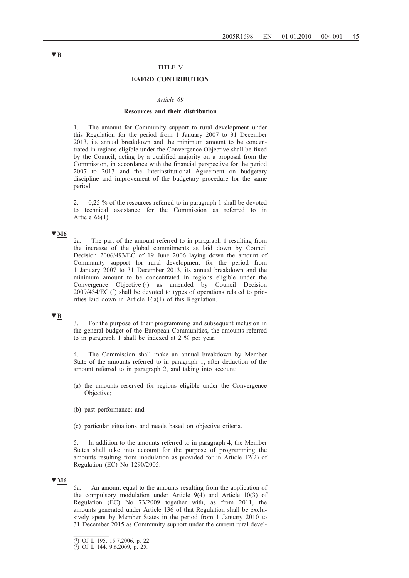### TITLE V

## **EAFRD CONTRIBUTION**

#### *Article 69*

#### **Resources and their distribution**

1. The amount for Community support to rural development under this Regulation for the period from 1 January 2007 to 31 December 2013, its annual breakdown and the minimum amount to be concentrated in regions eligible under the Convergence Objective shall be fixed by the Council, acting by a qualified majority on a proposal from the Commission, in accordance with the financial perspective for the period 2007 to 2013 and the Interinstitutional Agreement on budgetary discipline and improvement of the budgetary procedure for the same period.

2. 0,25 % of the resources referred to in paragraph 1 shall be devoted to technical assistance for the Commission as referred to in Article 66(1).

## **▼M6**

2a. The part of the amount referred to in paragraph 1 resulting from the increase of the global commitments as laid down by Council Decision 2006/493/EC of 19 June 2006 laying down the amount of Community support for rural development for the period from 1 January 2007 to 31 December 2013, its annual breakdown and the minimum amount to be concentrated in regions eligible under the Convergence Objective (1) as amended by Council Decision 2009/434/EC (2) shall be devoted to types of operations related to priorities laid down in Article 16a(1) of this Regulation.

## **▼B**

3. For the purpose of their programming and subsequent inclusion in the general budget of the European Communities, the amounts referred to in paragraph 1 shall be indexed at 2 % per year.

4. The Commission shall make an annual breakdown by Member State of the amounts referred to in paragraph 1, after deduction of the amount referred to in paragraph 2, and taking into account:

- (a) the amounts reserved for regions eligible under the Convergence Objective;
- (b) past performance; and
- (c) particular situations and needs based on objective criteria.

5. In addition to the amounts referred to in paragraph 4, the Member States shall take into account for the purpose of programming the amounts resulting from modulation as provided for in Article 12(2) of Regulation (EC) No 1290/2005.

### **▼M6**

5a. An amount equal to the amounts resulting from the application of the compulsory modulation under Article 9(4) and Article 10(3) of Regulation (EC) No 73/2009 together with, as from 2011, the amounts generated under Article 136 of that Regulation shall be exclusively spent by Member States in the period from 1 January 2010 to 31 December 2015 as Community support under the current rural devel-

<sup>(1)</sup> OJ L 195, 15.7.2006, p. 22.

 $(2)$  OJ L 144, 9.6.2009, p. 25.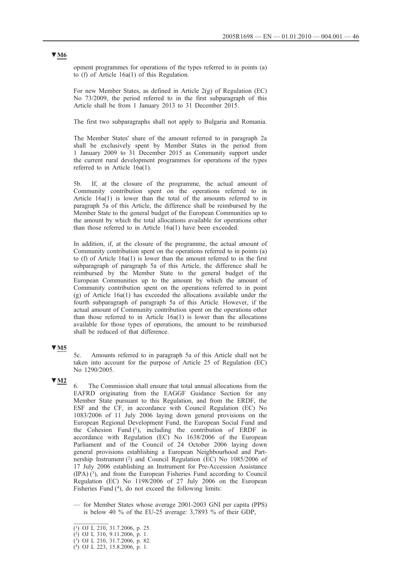opment programmes for operations of the types referred to in points (a) to (f) of Article 16a(1) of this Regulation.

For new Member States, as defined in Article 2(g) of Regulation (EC) No 73/2009, the period referred to in the first subparagraph of this Article shall be from 1 January 2013 to 31 December 2015.

The first two subparagraphs shall not apply to Bulgaria and Romania.

The Member States' share of the amount referred to in paragraph 2a shall be exclusively spent by Member States in the period from 1 January 2009 to 31 December 2015 as Community support under the current rural development programmes for operations of the types referred to in Article 16a(1).

5b. If, at the closure of the programme, the actual amount of Community contribution spent on the operations referred to in Article 16a(1) is lower than the total of the amounts referred to in paragraph 5a of this Article, the difference shall be reimbursed by the Member State to the general budget of the European Communities up to the amount by which the total allocations available for operations other than those referred to in Article 16a(1) have been exceeded.

In addition, if, at the closure of the programme, the actual amount of Community contribution spent on the operations referred to in points (a) to (f) of Article 16a(1) is lower than the amount referred to in the first subparagraph of paragraph 5a of this Article, the difference shall be reimbursed by the Member State to the general budget of the European Communities up to the amount by which the amount of Community contribution spent on the operations referred to in point (g) of Article 16a(1) has exceeded the allocations available under the fourth subparagraph of paragraph 5a of this Article. However, if the actual amount of Community contribution spent on the operations other than those referred to in Article  $16a(1)$  is lower than the allocations available for those types of operations, the amount to be reimbursed shall be reduced of that difference.

## **▼M5**

5c. Amounts referred to in paragraph 5a of this Article shall not be taken into account for the purpose of Article 25 of Regulation (EC) No 1290/2005.

## **▼M2**

6. The Commission shall ensure that total annual allocations from the EAFRD originating from the EAGGF Guidance Section for any Member State pursuant to this Regulation, and from the ERDF, the ESF and the CF, in accordance with Council Regulation (EC) No 1083/2006 of 11 July 2006 laying down general provisions on the European Regional Development Fund, the European Social Fund and the Cohesion Fund  $(1)$ , including the contribution of ERDF in accordance with Regulation (EC) No 1638/2006 of the European Parliament and of the Council of 24 October 2006 laying down general provisions establishing a European Neighbourhood and Partnership Instrument  $(2)$  and Council Regulation (EC) No 1085/2006 of 17 July 2006 establishing an Instrument for Pre-Accession Assistance  $(IPA)$  (3), and from the European Fisheries Fund according to Council Regulation (EC) No 1198/2006 of 27 July 2006 on the European Fisheries Fund  $(4)$ , do not exceed the following limits:

— for Member States whose average 2001-2003 GNI per capita (PPS) is below 40 % of the EU-25 average: 3,7893 % of their GDP,

# **▼M6**

 $\overline{(^1)}$  OJ L 210, 31.7.2006, p. 25.

 $(2)$  OJ L 310, 9.11.2006, p. 1.

<sup>(3)</sup> OJ L 210, 31.7.2006, p. 82.

<sup>(4)</sup> OJ L 223, 15.8.2006, p. 1.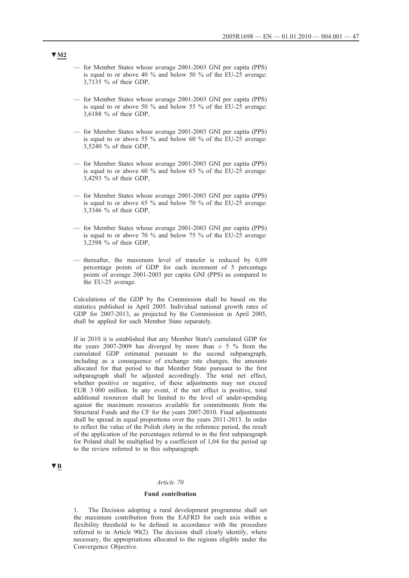- for Member States whose average 2001-2003 GNI per capita (PPS) is equal to or above 40 % and below 50 % of the EU-25 average: 3,7135 % of their GDP,
- for Member States whose average 2001-2003 GNI per capita (PPS) is equal to or above 50 % and below 55 % of the EU-25 average: 3,6188 % of their GDP,
- for Member States whose average 2001-2003 GNI per capita (PPS) is equal to or above 55 % and below 60 % of the EU-25 average: 3,5240 % of their GDP,
- for Member States whose average 2001-2003 GNI per capita (PPS) is equal to or above 60 % and below 65 % of the EU-25 average: 3,4293 % of their GDP,
- for Member States whose average 2001-2003 GNI per capita (PPS) is equal to or above 65 % and below 70 % of the EU-25 average: 3,3346 % of their GDP,
- for Member States whose average 2001-2003 GNI per capita (PPS) is equal to or above 70 % and below 75 % of the EU-25 average: 3,2398 % of their GDP,
- thereafter, the maximum level of transfer is reduced by 0,09 percentage points of GDP for each increment of 5 percentage points of average 2001-2003 per capita GNI (PPS) as compared to the EU-25 average.

Calculations of the GDP by the Commission shall be based on the statistics published in April 2005. Individual national growth rates of GDP for 2007-2013, as projected by the Commission in April 2005, shall be applied for each Member State separately.

If in 2010 it is established that any Member State's cumulated GDP for the years 2007-2009 has diverged by more than  $\pm$  5 % from the cumulated GDP estimated pursuant to the second subparagraph, including as a consequence of exchange rate changes, the amounts allocated for that period to that Member State pursuant to the first subparagraph shall be adjusted accordingly. The total net effect, whether positive or negative, of these adjustments may not exceed EUR 3 000 million. In any event, if the net effect is positive, total additional resources shall be limited to the level of under-spending against the maximum resources available for commitments from the Structural Funds and the CF for the years 2007-2010. Final adjustments shall be spread in equal proportions over the years 2011-2013. In order to reflect the value of the Polish zloty in the reference period, the result of the application of the percentages referred to in the first subparagraph for Poland shall be multiplied by a coefficient of 1,04 for the period up to the review referred to in this subparagraph.

## **▼B**

#### *Article 70*

#### **Fund contribution**

1. The Decision adopting a rural development programme shall set the maximum contribution from the EAFRD for each axis within a flexibility threshold to be defined in accordance with the procedure referred to in Article 90(2). The decision shall clearly identify, where necessary, the appropriations allocated to the regions eligible under the Convergence Objective.

## **▼M2**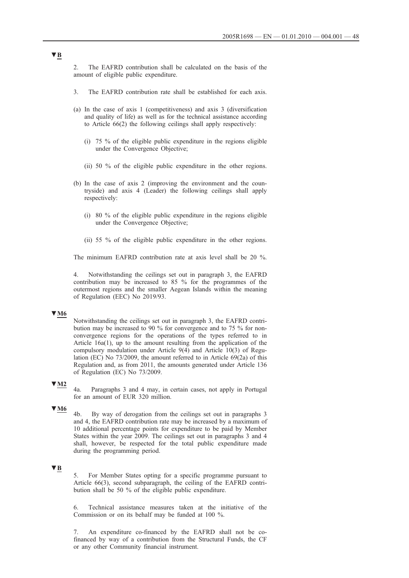2. The EAFRD contribution shall be calculated on the basis of the amount of eligible public expenditure.

- 3. The EAFRD contribution rate shall be established for each axis.
- (a) In the case of axis 1 (competitiveness) and axis 3 (diversification and quality of life) as well as for the technical assistance according to Article 66(2) the following ceilings shall apply respectively:
	- (i) 75 % of the eligible public expenditure in the regions eligible under the Convergence Objective;
	- (ii) 50 % of the eligible public expenditure in the other regions.
- (b) In the case of axis 2 (improving the environment and the countryside) and axis 4 (Leader) the following ceilings shall apply respectively:
	- (i) 80 % of the eligible public expenditure in the regions eligible under the Convergence Objective;
	- (ii) 55 % of the eligible public expenditure in the other regions.

The minimum EAFRD contribution rate at axis level shall be 20 %.

4. Notwithstanding the ceilings set out in paragraph 3, the EAFRD contribution may be increased to 85 % for the programmes of the outermost regions and the smaller Aegean Islands within the meaning of Regulation (EEC) No 2019/93.

### **▼M6**

Notwithstanding the ceilings set out in paragraph 3, the EAFRD contribution may be increased to 90 % for convergence and to 75 % for nonconvergence regions for the operations of the types referred to in Article 16a(1), up to the amount resulting from the application of the compulsory modulation under Article 9(4) and Article 10(3) of Regulation (EC) No 73/2009, the amount referred to in Article 69(2a) of this Regulation and, as from 2011, the amounts generated under Article 136 of Regulation (EC) No 73/2009.

## **▼M2**

4a. Paragraphs 3 and 4 may, in certain cases, not apply in Portugal for an amount of EUR 320 million.

## **▼M6**

4b. By way of derogation from the ceilings set out in paragraphs 3 and 4, the EAFRD contribution rate may be increased by a maximum of 10 additional percentage points for expenditure to be paid by Member States within the year 2009. The ceilings set out in paragraphs 3 and 4 shall, however, be respected for the total public expenditure made during the programming period.

## **▼B**

5. For Member States opting for a specific programme pursuant to Article 66(3), second subparagraph, the ceiling of the EAFRD contribution shall be 50 % of the eligible public expenditure.

6. Technical assistance measures taken at the initiative of the Commission or on its behalf may be funded at 100 %.

7. An expenditure co-financed by the EAFRD shall not be cofinanced by way of a contribution from the Structural Funds, the CF or any other Community financial instrument.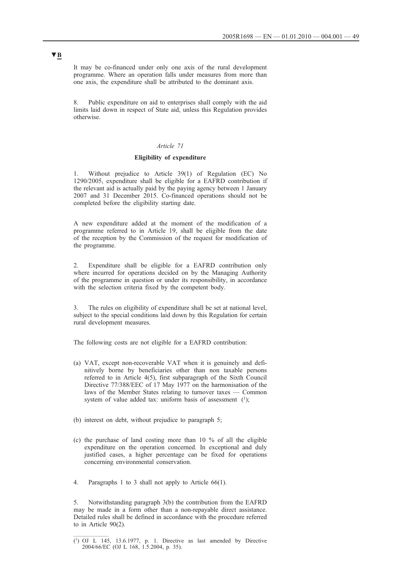It may be co-financed under only one axis of the rural development programme. Where an operation falls under measures from more than one axis, the expenditure shall be attributed to the dominant axis.

8. Public expenditure on aid to enterprises shall comply with the aid limits laid down in respect of State aid, unless this Regulation provides otherwise.

## *Article 71*

### **Eligibility of expenditure**

1. Without prejudice to Article 39(1) of Regulation (EC) No 1290/2005, expenditure shall be eligible for a EAFRD contribution if the relevant aid is actually paid by the paying agency between 1 January 2007 and 31 December 2015. Co-financed operations should not be completed before the eligibility starting date.

A new expenditure added at the moment of the modification of a programme referred to in Article 19, shall be eligible from the date of the reception by the Commission of the request for modification of the programme.

Expenditure shall be eligible for a EAFRD contribution only where incurred for operations decided on by the Managing Authority of the programme in question or under its responsibility, in accordance with the selection criteria fixed by the competent body.

The rules on eligibility of expenditure shall be set at national level, subject to the special conditions laid down by this Regulation for certain rural development measures.

The following costs are not eligible for a EAFRD contribution:

- (a) VAT, except non-recoverable VAT when it is genuinely and definitively borne by beneficiaries other than non taxable persons referred to in Article 4(5), first subparagraph of the Sixth Council Directive 77/388/EEC of 17 May 1977 on the harmonisation of the laws of the Member States relating to turnover taxes — Common system of value added tax: uniform basis of assessment  $(1)$ ;
- (b) interest on debt, without prejudice to paragraph 5;
- (c) the purchase of land costing more than 10 % of all the eligible expenditure on the operation concerned. In exceptional and duly justified cases, a higher percentage can be fixed for operations concerning environmental conservation.
- 4. Paragraphs 1 to 3 shall not apply to Article 66(1).

5. Notwithstanding paragraph 3(b) the contribution from the EAFRD may be made in a form other than a non-repayable direct assistance. Detailed rules shall be defined in accordance with the procedure referred to in Article 90(2).

<sup>(1)</sup> OJ L 145, 13.6.1977, p. 1. Directive as last amended by Directive 2004/66/EC (OJ L 168, 1.5.2004, p. 35).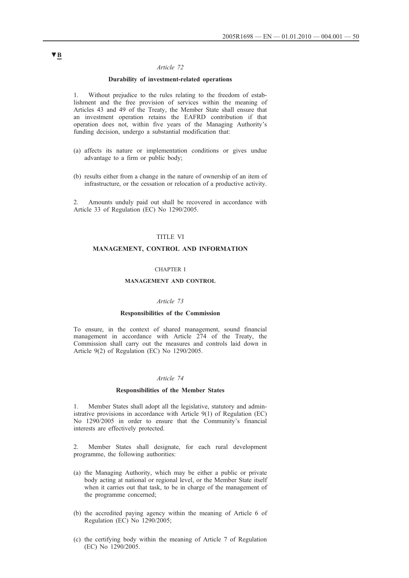## *Article 72*

## **Durability of investment-related operations**

1. Without prejudice to the rules relating to the freedom of establishment and the free provision of services within the meaning of Articles 43 and 49 of the Treaty, the Member State shall ensure that an investment operation retains the EAFRD contribution if that operation does not, within five years of the Managing Authority's funding decision, undergo a substantial modification that:

- (a) affects its nature or implementation conditions or gives undue advantage to a firm or public body;
- (b) results either from a change in the nature of ownership of an item of infrastructure, or the cessation or relocation of a productive activity.

Amounts unduly paid out shall be recovered in accordance with Article 33 of Regulation (EC) No 1290/2005.

## TITLE VI

### **MANAGEMENT, CONTROL AND INFORMATION**

#### CHAPTER I

#### **MANAGEMENT AND CONTROL**

#### *Article 73*

#### **Responsibilities of the Commission**

To ensure, in the context of shared management, sound financial management in accordance with Article 274 of the Treaty, the Commission shall carry out the measures and controls laid down in Article 9(2) of Regulation (EC) No 1290/2005.

### *Article 74*

#### **Responsibilities of the Member States**

1. Member States shall adopt all the legislative, statutory and administrative provisions in accordance with Article 9(1) of Regulation (EC) No 1290/2005 in order to ensure that the Community's financial interests are effectively protected.

2. Member States shall designate, for each rural development programme, the following authorities:

- (a) the Managing Authority, which may be either a public or private body acting at national or regional level, or the Member State itself when it carries out that task, to be in charge of the management of the programme concerned;
- (b) the accredited paying agency within the meaning of Article 6 of Regulation (EC) No 1290/2005;
- (c) the certifying body within the meaning of Article 7 of Regulation (EC) No 1290/2005.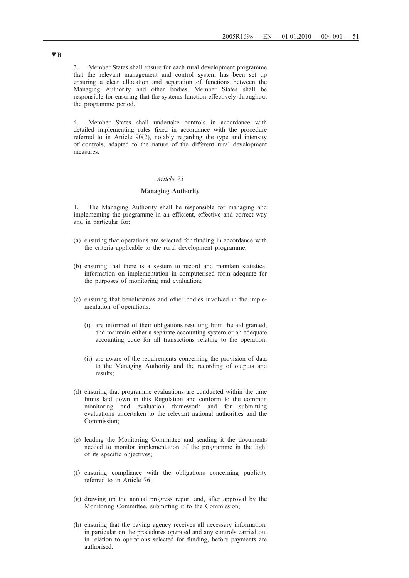3. Member States shall ensure for each rural development programme that the relevant management and control system has been set up ensuring a clear allocation and separation of functions between the Managing Authority and other bodies. Member States shall be responsible for ensuring that the systems function effectively throughout the programme period.

4. Member States shall undertake controls in accordance with detailed implementing rules fixed in accordance with the procedure referred to in Article 90(2), notably regarding the type and intensity of controls, adapted to the nature of the different rural development measures.

#### *Article 75*

## **Managing Authority**

The Managing Authority shall be responsible for managing and implementing the programme in an efficient, effective and correct way and in particular for:

- (a) ensuring that operations are selected for funding in accordance with the criteria applicable to the rural development programme;
- (b) ensuring that there is a system to record and maintain statistical information on implementation in computerised form adequate for the purposes of monitoring and evaluation;
- (c) ensuring that beneficiaries and other bodies involved in the implementation of operations:
	- (i) are informed of their obligations resulting from the aid granted, and maintain either a separate accounting system or an adequate accounting code for all transactions relating to the operation,
	- (ii) are aware of the requirements concerning the provision of data to the Managing Authority and the recording of outputs and results;
- (d) ensuring that programme evaluations are conducted within the time limits laid down in this Regulation and conform to the common monitoring and evaluation framework and for submitting evaluations undertaken to the relevant national authorities and the Commission;
- (e) leading the Monitoring Committee and sending it the documents needed to monitor implementation of the programme in the light of its specific objectives;
- (f) ensuring compliance with the obligations concerning publicity referred to in Article 76;
- (g) drawing up the annual progress report and, after approval by the Monitoring Committee, submitting it to the Commission;
- (h) ensuring that the paying agency receives all necessary information, in particular on the procedures operated and any controls carried out in relation to operations selected for funding, before payments are authorised.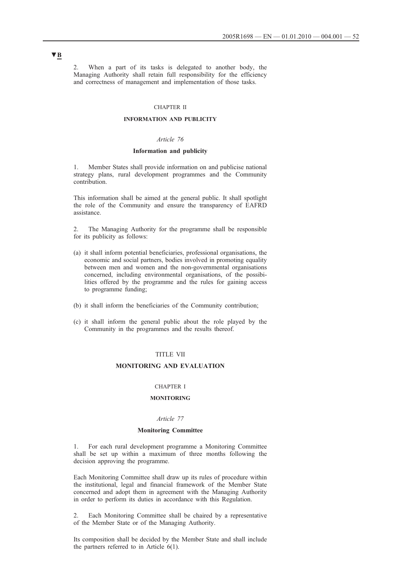When a part of its tasks is delegated to another body, the Managing Authority shall retain full responsibility for the efficiency and correctness of management and implementation of those tasks.

#### CHAPTER II

## **INFORMATION AND PUBLICITY**

## *Article 76*

#### **Information and publicity**

1. Member States shall provide information on and publicise national strategy plans, rural development programmes and the Community contribution.

This information shall be aimed at the general public. It shall spotlight the role of the Community and ensure the transparency of EAFRD assistance.

2. The Managing Authority for the programme shall be responsible for its publicity as follows:

- (a) it shall inform potential beneficiaries, professional organisations, the economic and social partners, bodies involved in promoting equality between men and women and the non-governmental organisations concerned, including environmental organisations, of the possibilities offered by the programme and the rules for gaining access to programme funding;
- (b) it shall inform the beneficiaries of the Community contribution;
- (c) it shall inform the general public about the role played by the Community in the programmes and the results thereof.

### TITLE VII

## **MONITORING AND EVALUATION**

### CHAPTER I

### **MONITORING**

## *Article 77*

#### **Monitoring Committee**

1. For each rural development programme a Monitoring Committee shall be set up within a maximum of three months following the decision approving the programme.

Each Monitoring Committee shall draw up its rules of procedure within the institutional, legal and financial framework of the Member State concerned and adopt them in agreement with the Managing Authority in order to perform its duties in accordance with this Regulation.

2. Each Monitoring Committee shall be chaired by a representative of the Member State or of the Managing Authority.

Its composition shall be decided by the Member State and shall include the partners referred to in Article 6(1).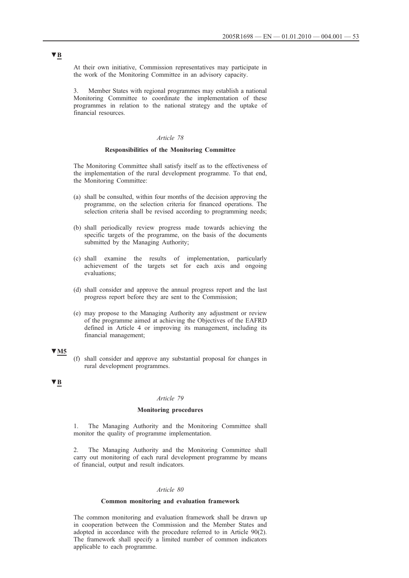At their own initiative, Commission representatives may participate in the work of the Monitoring Committee in an advisory capacity.

3. Member States with regional programmes may establish a national Monitoring Committee to coordinate the implementation of these programmes in relation to the national strategy and the uptake of financial resources.

## *Article 78*

#### **Responsibilities of the Monitoring Committee**

The Monitoring Committee shall satisfy itself as to the effectiveness of the implementation of the rural development programme. To that end, the Monitoring Committee:

- (a) shall be consulted, within four months of the decision approving the programme, on the selection criteria for financed operations. The selection criteria shall be revised according to programming needs;
- (b) shall periodically review progress made towards achieving the specific targets of the programme, on the basis of the documents submitted by the Managing Authority;
- (c) shall examine the results of implementation, particularly achievement of the targets set for each axis and ongoing evaluations;
- (d) shall consider and approve the annual progress report and the last progress report before they are sent to the Commission;
- (e) may propose to the Managing Authority any adjustment or review of the programme aimed at achieving the Objectives of the EAFRD defined in Article 4 or improving its management, including its financial management;

## **▼M5**

(f) shall consider and approve any substantial proposal for changes in rural development programmes.

## **▼B**

#### *Article 79*

## **Monitoring procedures**

1. The Managing Authority and the Monitoring Committee shall monitor the quality of programme implementation.

2. The Managing Authority and the Monitoring Committee shall carry out monitoring of each rural development programme by means of financial, output and result indicators.

#### *Article 80*

#### **Common monitoring and evaluation framework**

The common monitoring and evaluation framework shall be drawn up in cooperation between the Commission and the Member States and adopted in accordance with the procedure referred to in Article 90(2). The framework shall specify a limited number of common indicators applicable to each programme.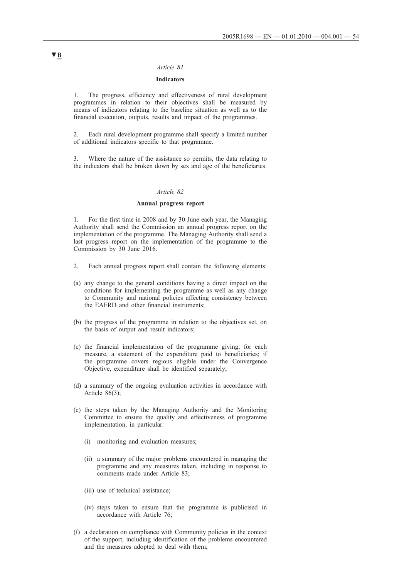#### *Article 81*

## **Indicators**

1. The progress, efficiency and effectiveness of rural development programmes in relation to their objectives shall be measured by means of indicators relating to the baseline situation as well as to the financial execution, outputs, results and impact of the programmes.

2. Each rural development programme shall specify a limited number of additional indicators specific to that programme.

3. Where the nature of the assistance so permits, the data relating to the indicators shall be broken down by sex and age of the beneficiaries.

#### *Article 82*

#### **Annual progress report**

1. For the first time in 2008 and by 30 June each year, the Managing Authority shall send the Commission an annual progress report on the implementation of the programme. The Managing Authority shall send a last progress report on the implementation of the programme to the Commission by 30 June 2016.

- 2. Each annual progress report shall contain the following elements:
- (a) any change to the general conditions having a direct impact on the conditions for implementing the programme as well as any change to Community and national policies affecting consistency between the EAFRD and other financial instruments;
- (b) the progress of the programme in relation to the objectives set, on the basis of output and result indicators;
- (c) the financial implementation of the programme giving, for each measure, a statement of the expenditure paid to beneficiaries; if the programme covers regions eligible under the Convergence Objective, expenditure shall be identified separately;
- (d) a summary of the ongoing evaluation activities in accordance with Article 86(3);
- (e) the steps taken by the Managing Authority and the Monitoring Committee to ensure the quality and effectiveness of programme implementation, in particular:
	- (i) monitoring and evaluation measures;
	- (ii) a summary of the major problems encountered in managing the programme and any measures taken, including in response to comments made under Article 83;
	- (iii) use of technical assistance;
	- (iv) steps taken to ensure that the programme is publicised in accordance with Article 76;
- (f) a declaration on compliance with Community policies in the context of the support, including identification of the problems encountered and the measures adopted to deal with them;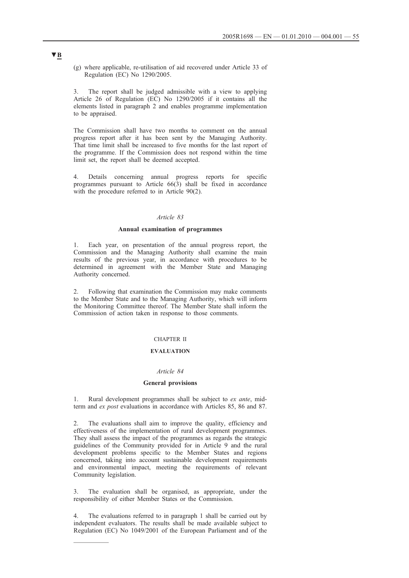(g) where applicable, re-utilisation of aid recovered under Article 33 of Regulation (EC) No 1290/2005.

3. The report shall be judged admissible with a view to applying Article 26 of Regulation (EC) No 1290/2005 if it contains all the elements listed in paragraph 2 and enables programme implementation to be appraised.

The Commission shall have two months to comment on the annual progress report after it has been sent by the Managing Authority. That time limit shall be increased to five months for the last report of the programme. If the Commission does not respond within the time limit set, the report shall be deemed accepted.

4. Details concerning annual progress reports for specific programmes pursuant to Article  $66(\overline{3})$  shall be fixed in accordance with the procedure referred to in Article 90(2).

#### *Article 83*

### **Annual examination of programmes**

1. Each year, on presentation of the annual progress report, the Commission and the Managing Authority shall examine the main results of the previous year, in accordance with procedures to be determined in agreement with the Member State and Managing Authority concerned.

2. Following that examination the Commission may make comments to the Member State and to the Managing Authority, which will inform the Monitoring Committee thereof. The Member State shall inform the Commission of action taken in response to those comments.

## CHAPTER II

## **EVALUATION**

#### *Article 84*

#### **General provisions**

1. Rural development programmes shall be subject to *ex ante*, midterm and *ex post* evaluations in accordance with Articles 85, 86 and 87.

The evaluations shall aim to improve the quality, efficiency and effectiveness of the implementation of rural development programmes. They shall assess the impact of the programmes as regards the strategic guidelines of the Community provided for in Article 9 and the rural development problems specific to the Member States and regions concerned, taking into account sustainable development requirements and environmental impact, meeting the requirements of relevant Community legislation.

3. The evaluation shall be organised, as appropriate, under the responsibility of either Member States or the Commission.

The evaluations referred to in paragraph 1 shall be carried out by independent evaluators. The results shall be made available subject to Regulation (EC) No 1049/2001 of the European Parliament and of the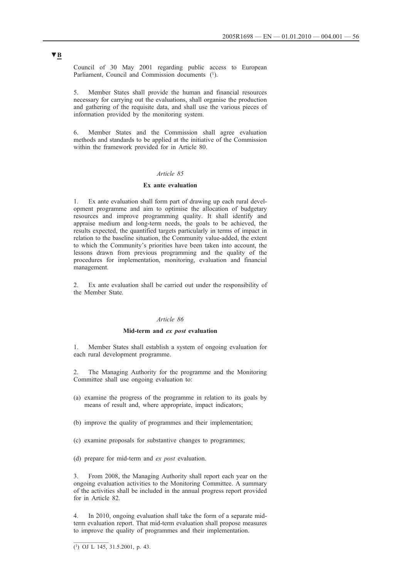Council of 30 May 2001 regarding public access to European Parliament, Council and Commission documents (1).

5. Member States shall provide the human and financial resources necessary for carrying out the evaluations, shall organise the production and gathering of the requisite data, and shall use the various pieces of information provided by the monitoring system.

6. Member States and the Commission shall agree evaluation methods and standards to be applied at the initiative of the Commission within the framework provided for in Article 80.

## *Article 85*

## **Ex ante evaluation**

1. Ex ante evaluation shall form part of drawing up each rural development programme and aim to optimise the allocation of budgetary resources and improve programming quality. It shall identify and appraise medium and long-term needs, the goals to be achieved, the results expected, the quantified targets particularly in terms of impact in relation to the baseline situation, the Community value-added, the extent to which the Community's priorities have been taken into account, the lessons drawn from previous programming and the quality of the procedures for implementation, monitoring, evaluation and financial management.

Ex ante evaluation shall be carried out under the responsibility of the Member State.

## *Article 86*

#### **Mid-term and** *ex post* **evaluation**

1. Member States shall establish a system of ongoing evaluation for each rural development programme.

2. The Managing Authority for the programme and the Monitoring Committee shall use ongoing evaluation to:

- (a) examine the progress of the programme in relation to its goals by means of result and, where appropriate, impact indicators;
- (b) improve the quality of programmes and their implementation;
- (c) examine proposals for substantive changes to programmes;
- (d) prepare for mid-term and *ex post* evaluation.

3. From 2008, the Managing Authority shall report each year on the ongoing evaluation activities to the Monitoring Committee. A summary of the activities shall be included in the annual progress report provided for in Article 82.

4. In 2010, ongoing evaluation shall take the form of a separate midterm evaluation report. That mid-term evaluation shall propose measures to improve the quality of programmes and their implementation.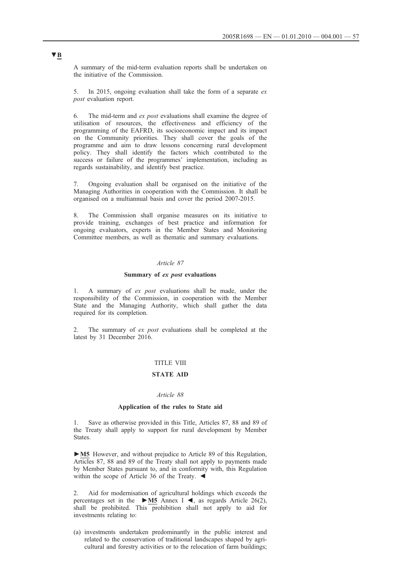A summary of the mid-term evaluation reports shall be undertaken on the initiative of the Commission.

5. In 2015, ongoing evaluation shall take the form of a separate *ex post* evaluation report.

6. The mid-term and *ex post* evaluations shall examine the degree of utilisation of resources, the effectiveness and efficiency of the programming of the EAFRD, its socioeconomic impact and its impact on the Community priorities. They shall cover the goals of the programme and aim to draw lessons concerning rural development policy. They shall identify the factors which contributed to the success or failure of the programmes' implementation, including as regards sustainability, and identify best practice.

7. Ongoing evaluation shall be organised on the initiative of the Managing Authorities in cooperation with the Commission. It shall be organised on a multiannual basis and cover the period 2007-2015.

The Commission shall organise measures on its initiative to provide training, exchanges of best practice and information for ongoing evaluators, experts in the Member States and Monitoring Committee members, as well as thematic and summary evaluations.

### *Article 87*

#### **Summary of** *ex post* **evaluations**

1. A summary of *ex post* evaluations shall be made, under the responsibility of the Commission, in cooperation with the Member State and the Managing Authority, which shall gather the data required for its completion.

2. The summary of *ex post* evaluations shall be completed at the latest by 31 December 2016.

## TITLE VIII

## **STATE AID**

### *Article 88*

#### **Application of the rules to State aid**

1. Save as otherwise provided in this Title, Articles 87, 88 and 89 of the Treaty shall apply to support for rural development by Member States.

**►M5** However, and without prejudice to Article 89 of this Regulation, Articles 87, 88 and 89 of the Treaty shall not apply to payments made by Member States pursuant to, and in conformity with, this Regulation within the scope of Article 36 of the Treaty.  $\blacktriangleleft$ 

Aid for modernisation of agricultural holdings which exceeds the percentages set in the **►M5** Annex I ◄, as regards Article 26(2), shall be prohibited. This prohibition shall not apply to aid for investments relating to:

(a) investments undertaken predominantly in the public interest and related to the conservation of traditional landscapes shaped by agricultural and forestry activities or to the relocation of farm buildings;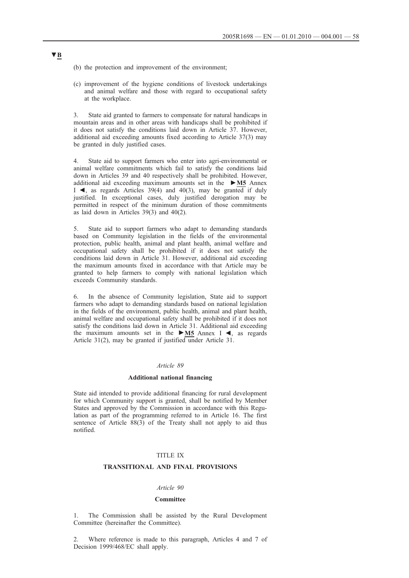- (b) the protection and improvement of the environment;
- (c) improvement of the hygiene conditions of livestock undertakings and animal welfare and those with regard to occupational safety at the workplace.

3. State aid granted to farmers to compensate for natural handicaps in mountain areas and in other areas with handicaps shall be prohibited if it does not satisfy the conditions laid down in Article 37. However, additional aid exceeding amounts fixed according to Article 37(3) may be granted in duly justified cases.

4. State aid to support farmers who enter into agri-environmental or animal welfare commitments which fail to satisfy the conditions laid down in Articles 39 and 40 respectively shall be prohibited. However, additional aid exceeding maximum amounts set in the **►M5** Annex I  $\blacktriangleleft$ , as regards Articles 39(4) and 40(3), may be granted if duly justified. In exceptional cases, duly justified derogation may be permitted in respect of the minimum duration of those commitments as laid down in Articles 39(3) and 40(2).

5. State aid to support farmers who adapt to demanding standards based on Community legislation in the fields of the environmental protection, public health, animal and plant health, animal welfare and occupational safety shall be prohibited if it does not satisfy the conditions laid down in Article 31. However, additional aid exceeding the maximum amounts fixed in accordance with that Article may be granted to help farmers to comply with national legislation which exceeds Community standards.

6. In the absence of Community legislation, State aid to support farmers who adapt to demanding standards based on national legislation in the fields of the environment, public health, animal and plant health, animal welfare and occupational safety shall be prohibited if it does not satisfy the conditions laid down in Article 31. Additional aid exceeding the maximum amounts set in the **►M5** Annex I ◄, as regards Article 31(2), may be granted if justified under Article 31.

#### *Article 89*

### **Additional national financing**

State aid intended to provide additional financing for rural development for which Community support is granted, shall be notified by Member States and approved by the Commission in accordance with this Regulation as part of the programming referred to in Article 16. The first sentence of Article 88(3) of the Treaty shall not apply to aid thus notified.

## TITLE IX

### **TRANSITIONAL AND FINAL PROVISIONS**

## *Article 90*

## **Committee**

The Commission shall be assisted by the Rural Development Committee (hereinafter the Committee).

2. Where reference is made to this paragraph, Articles 4 and 7 of Decision 1999/468/EC shall apply.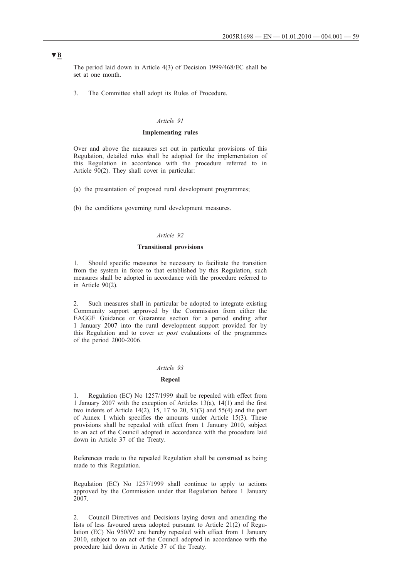The period laid down in Article 4(3) of Decision 1999/468/EC shall be set at one month.

3. The Committee shall adopt its Rules of Procedure.

#### *Article 91*

### **Implementing rules**

Over and above the measures set out in particular provisions of this Regulation, detailed rules shall be adopted for the implementation of this Regulation in accordance with the procedure referred to in Article 90(2). They shall cover in particular:

(a) the presentation of proposed rural development programmes;

(b) the conditions governing rural development measures.

#### *Article 92*

### **Transitional provisions**

1. Should specific measures be necessary to facilitate the transition from the system in force to that established by this Regulation, such measures shall be adopted in accordance with the procedure referred to in Article 90(2).

2. Such measures shall in particular be adopted to integrate existing Community support approved by the Commission from either the EAGGF Guidance or Guarantee section for a period ending after 1 January 2007 into the rural development support provided for by this Regulation and to cover *ex post* evaluations of the programmes of the period 2000-2006.

#### *Article 93*

#### **Repeal**

1. Regulation (EC) No 1257/1999 shall be repealed with effect from 1 January 2007 with the exception of Articles 13(a), 14(1) and the first two indents of Article  $14(2)$ ,  $15$ ,  $17$  to  $20$ ,  $51(3)$  and  $55(4)$  and the part of Annex I which specifies the amounts under Article 15(3). These provisions shall be repealed with effect from 1 January 2010, subject to an act of the Council adopted in accordance with the procedure laid down in Article 37 of the Treaty.

References made to the repealed Regulation shall be construed as being made to this Regulation.

Regulation (EC) No 1257/1999 shall continue to apply to actions approved by the Commission under that Regulation before 1 January 2007.

2. Council Directives and Decisions laying down and amending the lists of less favoured areas adopted pursuant to Article 21(2) of Regulation (EC) No 950/97 are hereby repealed with effect from 1 January 2010, subject to an act of the Council adopted in accordance with the procedure laid down in Article 37 of the Treaty.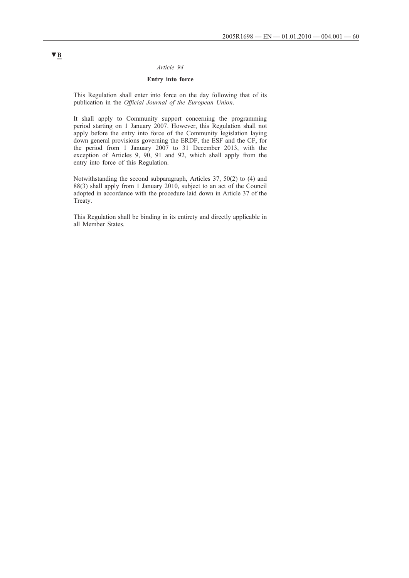## *Article 94*

## **Entry into force**

This Regulation shall enter into force on the day following that of its publication in the *Official Journal of the European Union*.

It shall apply to Community support concerning the programming period starting on 1 January 2007. However, this Regulation shall not apply before the entry into force of the Community legislation laying down general provisions governing the ERDF, the ESF and the CF, for the period from 1 January 2007 to 31 December 2013, with the exception of Articles 9, 90, 91 and 92, which shall apply from the entry into force of this Regulation.

Notwithstanding the second subparagraph, Articles 37, 50(2) to (4) and 88(3) shall apply from 1 January 2010, subject to an act of the Council adopted in accordance with the procedure laid down in Article 37 of the Treaty.

This Regulation shall be binding in its entirety and directly applicable in all Member States.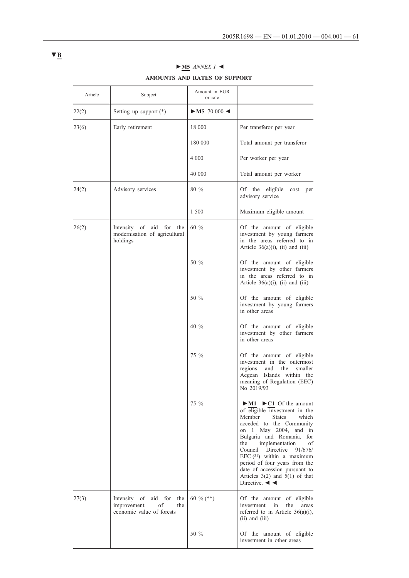| Article | Subject                                                                                 | Amount in EUR<br>or rate          |                                                                                                                                                                                                                                                                                                                                                                                                                                                                                            |
|---------|-----------------------------------------------------------------------------------------|-----------------------------------|--------------------------------------------------------------------------------------------------------------------------------------------------------------------------------------------------------------------------------------------------------------------------------------------------------------------------------------------------------------------------------------------------------------------------------------------------------------------------------------------|
| 22(2)   | Setting up support $(*)$                                                                | $\blacktriangleright$ M5 70 000 < |                                                                                                                                                                                                                                                                                                                                                                                                                                                                                            |
| 23(6)   | Early retirement                                                                        | 18 000                            | Per transferor per year                                                                                                                                                                                                                                                                                                                                                                                                                                                                    |
|         |                                                                                         | 180 000                           | Total amount per transferor                                                                                                                                                                                                                                                                                                                                                                                                                                                                |
|         |                                                                                         | 4 0 0 0                           | Per worker per year                                                                                                                                                                                                                                                                                                                                                                                                                                                                        |
|         |                                                                                         | 40 000                            | Total amount per worker                                                                                                                                                                                                                                                                                                                                                                                                                                                                    |
| 24(2)   | Advisory services                                                                       | 80 %                              | Of the eligible<br>cost per<br>advisory service                                                                                                                                                                                                                                                                                                                                                                                                                                            |
|         |                                                                                         | 1 500                             | Maximum eligible amount                                                                                                                                                                                                                                                                                                                                                                                                                                                                    |
| 26(2)   | Intensity of aid for the<br>modernisation of agricultural<br>holdings                   | 60 $\%$                           | Of the amount of eligible<br>investment by young farmers<br>in the areas referred to in<br>Article $36(a)(i)$ , (ii) and (iii)                                                                                                                                                                                                                                                                                                                                                             |
|         |                                                                                         | 50 %                              | Of the amount of eligible<br>investment by other farmers<br>in the areas referred to in<br>Article $36(a)(i)$ , (ii) and (iii)                                                                                                                                                                                                                                                                                                                                                             |
|         |                                                                                         | 50 %                              | Of the amount of eligible<br>investment by young farmers<br>in other areas                                                                                                                                                                                                                                                                                                                                                                                                                 |
|         |                                                                                         | $40\%$                            | Of the amount of eligible<br>investment by other farmers<br>in other areas                                                                                                                                                                                                                                                                                                                                                                                                                 |
|         |                                                                                         | 75 %                              | Of the amount of eligible<br>investment in the outermost<br>regions<br>and<br>the<br>smaller<br>Aegean Islands within the<br>meaning of Regulation (EEC)<br>No 2019/93                                                                                                                                                                                                                                                                                                                     |
|         |                                                                                         | 75 %                              | $\triangleright$ <u>M1</u> $\triangleright$ C1 Of the amount<br>of eligible investment in the<br>Member<br><b>States</b><br>which<br>acceded to the Community<br>on 1 May 2004, and<br>in<br>Bulgaria and Romania,<br>for<br>the<br>implementation<br>of<br>Council<br>Directive<br>91/676/<br>EEC $(31)$ within a maximum<br>period of four years from the<br>date of accession pursuant to<br>Articles $3(2)$ and $5(1)$ of that<br>Directive. $\blacktriangleleft$ $\blacktriangleleft$ |
| 27(3)   | Intensity of<br>aid for<br>the<br>improvement<br>of<br>the<br>economic value of forests | 60 % (**)                         | Of the amount of eligible<br>investment<br>in<br>the<br>areas<br>referred to in Article $36(a)(i)$ ,<br>$(ii)$ and $(iii)$                                                                                                                                                                                                                                                                                                                                                                 |
|         |                                                                                         | 50 %                              | Of the amount of eligible<br>investment in other areas                                                                                                                                                                                                                                                                                                                                                                                                                                     |

# **►M5** *ANNEX I ◄* **AMOUNTS AND RATES OF SUPPORT**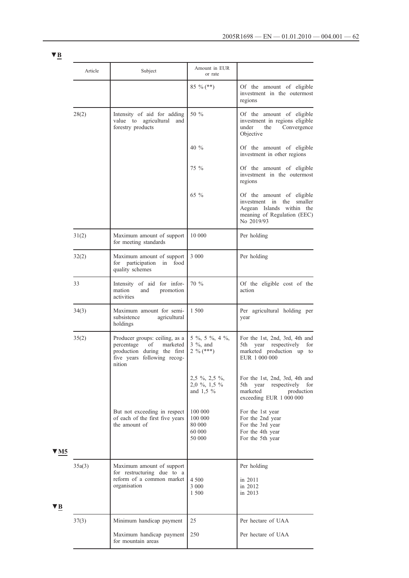|       | Article | Subject                                                                                                                                | Amount in EUR<br>or rate                                       |                                                                                                                                           |
|-------|---------|----------------------------------------------------------------------------------------------------------------------------------------|----------------------------------------------------------------|-------------------------------------------------------------------------------------------------------------------------------------------|
|       |         |                                                                                                                                        | 85 % $(**)$                                                    | Of the amount of eligible<br>investment in the outermost<br>regions                                                                       |
|       | 28(2)   | Intensity of aid for adding<br>value to agricultural<br>and<br>forestry products                                                       | 50 %                                                           | Of the amount of eligible<br>investment in regions eligible<br>under<br>the<br>Convergence<br>Objective                                   |
|       |         |                                                                                                                                        | $40\%$                                                         | Of the amount of eligible<br>investment in other regions                                                                                  |
|       |         |                                                                                                                                        | $75\%$                                                         | Of the amount of eligible<br>investment in the outermost<br>regions                                                                       |
|       |         |                                                                                                                                        | 65 $\%$                                                        | Of the amount of eligible<br>investment<br>in the<br>smaller<br>Aegean Islands within<br>the<br>meaning of Regulation (EEC)<br>No 2019/93 |
|       | 31(2)   | Maximum amount of support<br>for meeting standards                                                                                     | 10 000                                                         | Per holding                                                                                                                               |
|       | 32(2)   | Maximum amount of support<br>for participation in food<br>quality schemes                                                              | 3 0 0 0                                                        | Per holding                                                                                                                               |
|       | 33      | Intensity of aid for infor-<br>mation<br>and<br>promotion<br>activities                                                                | 70 %                                                           | Of the eligible cost of the<br>action                                                                                                     |
|       | 34(3)   | Maximum amount for semi-<br>subsistence<br>agricultural<br>holdings                                                                    | 1 500                                                          | Per agricultural holding per<br>year                                                                                                      |
|       | 35(2)   | Producer groups: ceiling, as a<br>percentage<br>of<br>marketed<br>production during the first<br>five years following recog-<br>nition | $5\%$ , $5\%$ , $4\%$ ,<br>$3\%$ , and<br>$2\frac{9}{6}$ (***) | For the 1st, 2nd, 3rd, 4th and<br>5th –<br>year respectively<br>for<br>marketed production up to<br>EUR 1 000 000                         |
|       |         |                                                                                                                                        | $2,5\%$ , $2,5\%$ ,<br>$2,0\%$ , 1,5 %<br>and $1,5\%$          | For the 1st, 2nd, 3rd, 4th and<br>5th<br>year<br>respectively<br>for<br>marketed<br>production<br>exceeding EUR 1 000 000                 |
|       |         | But not exceeding in respect<br>of each of the first five years<br>the amount of                                                       | 100 000<br>100 000<br>80 000<br>60 000<br>50 000               | For the 1st year<br>For the 2nd year<br>For the 3rd year<br>For the 4th year<br>For the 5th year                                          |
| 7 M 5 |         |                                                                                                                                        |                                                                |                                                                                                                                           |
| ΈВ    | 35a(3)  | Maximum amount of support<br>for restructuring due to a<br>reform of a common market<br>organisation                                   | 4 500<br>3 0 0 0<br>1 500                                      | Per holding<br>in 2011<br>in 2012<br>in 2013                                                                                              |
|       | 37(3)   | Minimum handicap payment                                                                                                               | 25                                                             | Per hectare of UAA                                                                                                                        |
|       |         | Maximum handicap payment<br>for mountain areas                                                                                         | 250                                                            | Per hectare of UAA                                                                                                                        |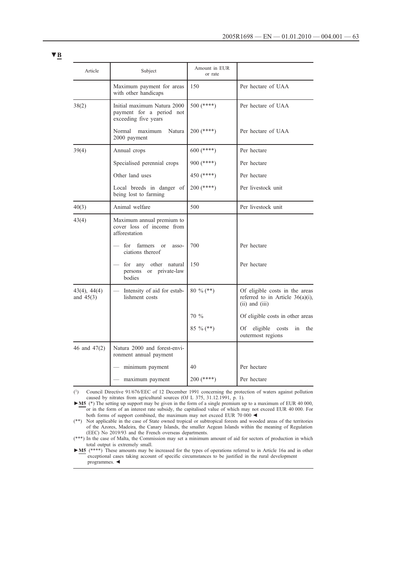| Article                          | Subject                                                                         | Amount in EUR<br>or rate |                                                                                          |
|----------------------------------|---------------------------------------------------------------------------------|--------------------------|------------------------------------------------------------------------------------------|
|                                  | Maximum payment for areas<br>with other handicaps                               | 150                      | Per hectare of UAA                                                                       |
| 38(2)                            | Initial maximum Natura 2000<br>payment for a period not<br>exceeding five years | $500$ (****)             | Per hectare of UAA                                                                       |
|                                  | Normal<br>maximum<br>Natura<br>2000 payment                                     | $200$ (****)             | Per hectare of UAA                                                                       |
| 39(4)                            | Annual crops                                                                    | $600$ (****)             | Per hectare                                                                              |
|                                  | Specialised perennial crops                                                     | $900$ (****)             | Per hectare                                                                              |
|                                  | Other land uses                                                                 | 450 (****)               | Per hectare                                                                              |
|                                  | Local breeds in danger of<br>being lost to farming                              | $200$ (****)             | Per livestock unit                                                                       |
| 40(3)                            | Animal welfare                                                                  | 500                      | Per livestock unit                                                                       |
| 43(4)                            | Maximum annual premium to<br>cover loss of income from<br>afforestation         |                          |                                                                                          |
|                                  | farmers or<br>for<br>asso-<br>ciations thereof                                  | 700                      | Per hectare                                                                              |
|                                  | for any<br>other natural<br>persons or private-law<br>bodies                    | 150                      | Per hectare                                                                              |
| $43(4)$ , $44(4)$<br>and $45(3)$ | Intensity of aid for estab-<br>lishment costs                                   | 80 % (**)                | Of eligible costs in the areas<br>referred to in Article 36(a)(i),<br>$(ii)$ and $(iii)$ |
|                                  |                                                                                 | $70\%$                   | Of eligible costs in other areas                                                         |
|                                  |                                                                                 | 85 % (**)                | eligible<br>Of<br>costs<br>in<br>the<br>outermost regions                                |
| 46 and 47(2)                     | Natura 2000 and forest-envi-<br>ronment annual payment                          |                          |                                                                                          |
|                                  | minimum payment                                                                 | 40                       | Per hectare                                                                              |
|                                  | maximum payment                                                                 | $200$ (****)             | Per hectare                                                                              |

(1) Council Directive 91/676/EEC of 12 December 1991 concerning the protection of waters against pollution caused by nitrates from agricultural sources (OJ L 375, 31.12.1991, p. 1).

► M5 (\*) The setting up support may be given in the form of a single premium up to a maximum of EUR 40 000, or in the form of an interest rate subsidy, the capitalised value of which may not exceed EUR 40 000. For both forms of support combined, the maximum may not exceed EUR 70 000  $\blacktriangleleft$ 

(\*\*) Not applicable in the case of State owned tropical οr subtropical forests and wooded areas of the territories of the Azores, Madeira, the Canary Islands, the smaller Aegean Islands within the meaning of Regulation (EEC) No 2019/93 and the French overseas departments.

(\*\*\*) In the case of Malta, the Commission may set a minimum amount of aid for sectors of production in which total output is extremely small.

**►M5** (\*\*\*\*) These amounts may be increased for the types of operations referred to in Article 16a and in other exceptional cases taking account of specific circumstances to be justified in the rural development programmes. ◄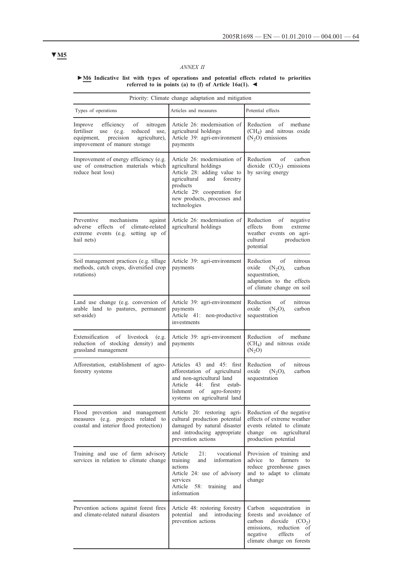## *ANNEX II*

#### **►M6 Indicative list with types of operations and potential effects related to priorities referred to in points (a) to (f) of Article 16a(1). ◄**

| Priority: Climate change adaptation and mitigation                                                                                                                    |                                                                                                                                                                                                                   |                                                                                                                                                                           |  |
|-----------------------------------------------------------------------------------------------------------------------------------------------------------------------|-------------------------------------------------------------------------------------------------------------------------------------------------------------------------------------------------------------------|---------------------------------------------------------------------------------------------------------------------------------------------------------------------------|--|
| Types of operations                                                                                                                                                   | Articles and measures                                                                                                                                                                                             | Potential effects                                                                                                                                                         |  |
| efficiency<br>nitrogen<br>Improve<br>of<br>fertiliser<br>use<br>(e.g.<br>reduced<br>use,<br>precision<br>agriculture),<br>equipment,<br>improvement of manure storage | Article 26: modernisation of<br>agricultural holdings<br>Article 39: agri-environment<br>payments                                                                                                                 | Reduction<br>of<br>methane<br>$(CH4)$ and nitrous oxide<br>$(N2O)$ emissions                                                                                              |  |
| Improvement of energy efficiency (e.g.<br>use of construction materials which<br>reduce heat loss)                                                                    | Article 26: modernisation of<br>agricultural holdings<br>Article 28: adding value to<br>agricultural<br>and<br>forestry<br>products<br>Article 29: cooperation for<br>new products, processes and<br>technologies | Reduction<br>of<br>carbon<br>dioxide $(CO2)$ emissions<br>by saving energy                                                                                                |  |
| Preventive<br>mechanisms<br>against<br>effects<br>of<br>climate-related<br>adverse<br>extreme events (e.g. setting up of<br>hail nets)                                | Article 26: modernisation of<br>agricultural holdings                                                                                                                                                             | Reduction of<br>negative<br>effects<br>from<br>extreme<br>weather events on agri-<br>cultural<br>production<br>potential                                                  |  |
| Soil management practices (e.g. tillage<br>methods, catch crops, diversified crop<br>rotations)                                                                       | Article 39: agri-environment<br>payments                                                                                                                                                                          | nitrous<br>Reduction<br>οf<br>oxide<br>$(N2O)$ ,<br>carbon<br>sequestration,<br>adaptation to the effects<br>of climate change on soil                                    |  |
| Land use change (e.g. conversion of<br>arable land to pastures, permanent<br>set-aside)                                                                               | Article 39: agri-environment<br>payments<br>Article 41: non-productive<br>investments                                                                                                                             | nitrous<br>Reduction<br>οf<br>oxide<br>$(N_2O),$<br>carbon<br>sequestration                                                                                               |  |
| Extensification of livestock<br>(e.g.<br>reduction of stocking density) and<br>grassland management                                                                   | Article 39: agri-environment<br>payments                                                                                                                                                                          | Reduction of methane<br>$(CH4)$ and nitrous oxide<br>(N <sub>2</sub> O)                                                                                                   |  |
| Afforestation, establishment of agro-<br>forestry systems                                                                                                             | Articles 43 and 45: first<br>afforestation of agricultural<br>and non-agricultural land<br>Article<br>44:<br>first<br>estab-<br>agro-forestry<br>of<br>lishment<br>systems on agricultural land                   | of<br>nitrous<br>Reduction<br>oxide<br>$(N_2O),$<br>carbon<br>sequestration                                                                                               |  |
| Flood prevention and management<br>measures (e.g. projects related to<br>coastal and interior flood protection)                                                       | Article 20: restoring agri-<br>cultural production potential<br>damaged by natural disaster<br>and introducing appropriate<br>prevention actions                                                                  | Reduction of the negative<br>effects of extreme weather<br>events related to climate<br>change<br>agricultural<br>on<br>production potential                              |  |
| Training and use of farm advisory<br>services in relation to climate change                                                                                           | 21:<br>vocational<br>Article<br>training<br>information<br>and<br>actions<br>Article 24: use of advisory<br>services<br>Article<br>58:<br>training<br>and<br>information                                          | Provision of training and<br>advice<br>to<br>farmers<br>to<br>reduce greenhouse gases<br>and to adapt to climate<br>change                                                |  |
| Prevention actions against forest fires<br>and climate-related natural disasters                                                                                      | Article 48: restoring forestry<br>potential<br>and<br>introducing<br>prevention actions                                                                                                                           | Carbon sequestration in<br>forests and avoidance of<br>carbon<br>dioxide $(CO_2)$<br>emissions, reduction<br>of<br>effects<br>negative<br>οf<br>climate change on forests |  |

# **▼M5**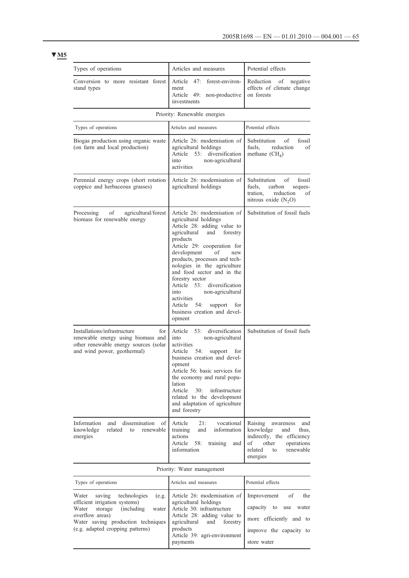# **▼M5**

| Types of operations                                                                                                                                                                                                       | Articles and measures                                                                                                                                                                                                                                                                                                                                                                                                                                               | Potential effects                                                                                                                                             |
|---------------------------------------------------------------------------------------------------------------------------------------------------------------------------------------------------------------------------|---------------------------------------------------------------------------------------------------------------------------------------------------------------------------------------------------------------------------------------------------------------------------------------------------------------------------------------------------------------------------------------------------------------------------------------------------------------------|---------------------------------------------------------------------------------------------------------------------------------------------------------------|
| Conversion to more resistant forest<br>stand types                                                                                                                                                                        | 47:<br>forest-environ-<br>Article<br>ment<br>Article 49: non-productive<br>investments                                                                                                                                                                                                                                                                                                                                                                              | Reduction of<br>negative<br>effects of climate change<br>on forests                                                                                           |
|                                                                                                                                                                                                                           | Priority: Renewable energies                                                                                                                                                                                                                                                                                                                                                                                                                                        |                                                                                                                                                               |
| Types of operations                                                                                                                                                                                                       | Articles and measures                                                                                                                                                                                                                                                                                                                                                                                                                                               | Potential effects                                                                                                                                             |
| Biogas production using organic waste<br>(on farm and local production)                                                                                                                                                   | Article 26: modernisation of<br>agricultural holdings<br>Article 53: diversification<br>non-agricultural<br>into<br>activities                                                                                                                                                                                                                                                                                                                                      | Substitution<br>οf<br>fossil<br>fuels,<br>reduction<br>οf<br>methane $(CH_4)$                                                                                 |
| Perennial energy crops (short rotation<br>coppice and herbaceous grasses)                                                                                                                                                 | Article 26: modernisation of<br>agricultural holdings                                                                                                                                                                                                                                                                                                                                                                                                               | Substitution<br>of fossil<br>fuels,<br>carbon<br>seques-<br>tration,<br>reduction<br>οf<br>nitrous oxide $(N_2O)$                                             |
| Processing<br>οf<br>agricultural/forest<br>biomass for renewable energy                                                                                                                                                   | Article 26: modernisation of<br>agricultural holdings<br>Article 28: adding value to<br>and<br>forestry<br>agricultural<br>products<br>Article 29: cooperation for<br>development<br>οf<br>new<br>products, processes and tech-<br>nologies in the agriculture<br>and food sector and in the<br>forestry sector<br>Article 53: diversification<br>non-agricultural<br>into<br>activities<br>Article 54:<br>support<br>for<br>business creation and devel-<br>opment | Substitution of fossil fuels                                                                                                                                  |
| Installations/infrastructure<br>for<br>renewable energy using biomass and<br>other renewable energy sources (solar<br>and wind power, geothermal)                                                                         | 53:<br>diversification<br>Article<br>non-agricultural<br>into<br>activities<br>Article<br>54:<br>support<br>for<br>business creation and devel-<br>opment<br>Article 56: basic services for<br>the economy and rural popu-<br>lation<br>Article<br>30:<br>infrastructure<br>related to the development<br>and adaptation of agriculture<br>and forestry                                                                                                             | Substitution of fossil fuels                                                                                                                                  |
| dissemination<br>Information<br>and<br>of<br>knowledge<br>related<br>to<br>renewable<br>energies                                                                                                                          | Article<br>21:<br>vocational<br>information<br>training<br>and<br>actions<br>Article<br>58:<br>training<br>and<br>information                                                                                                                                                                                                                                                                                                                                       | Raising<br>awareness<br>and<br>knowledge<br>and<br>thus,<br>indirectly, the efficiency<br>οf<br>other<br>operations<br>related<br>renewable<br>to<br>energies |
|                                                                                                                                                                                                                           | Priority: Water management                                                                                                                                                                                                                                                                                                                                                                                                                                          |                                                                                                                                                               |
| Types of operations                                                                                                                                                                                                       | Articles and measures                                                                                                                                                                                                                                                                                                                                                                                                                                               | Potential effects                                                                                                                                             |
| Water<br>technologies<br>saving<br>(e.g.<br>efficient irrigation systems)<br><i>(including)</i><br>storage<br>water<br>Water<br>overflow areas)<br>Water saving production techniques<br>(e.g. adapted cropping patterns) | Article 26: modernisation of<br>agricultural holdings<br>Article 30: infrastructure<br>Article 28: adding value to<br>agricultural<br>and<br>forestry<br>products<br>Article 39: agri-environment<br>payments                                                                                                                                                                                                                                                       | οf<br>the<br>Improvement<br>capacity<br>to<br>use<br>water<br>more efficiently and to<br>improve the capacity to<br>store water                               |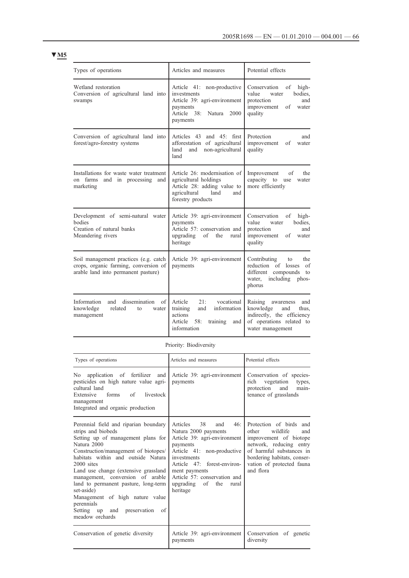| ł |  |
|---|--|
|   |  |

| Types of operations                                                                                                   | Articles and measures                                                                                                                    | Potential effects                                                                                                                      |
|-----------------------------------------------------------------------------------------------------------------------|------------------------------------------------------------------------------------------------------------------------------------------|----------------------------------------------------------------------------------------------------------------------------------------|
| Wetland restoration<br>Conversion of agricultural land into<br>swamps                                                 | Article 41: non-productive<br>investments<br>Article 39: agri-environment<br>payments<br>Article 38:<br>Natura<br>2000<br>payments       | Conservation<br>of<br>high-<br>bodies,<br>value<br>water<br>protection<br>and<br>improvement<br>οf<br>water<br>quality                 |
| Conversion of agricultural land into<br>forest/agro-forestry systems                                                  | Articles 43 and 45: first<br>afforestation of agricultural<br>land<br>non-agricultural<br>and<br>land                                    | Protection<br>and<br>improvement<br>οf<br>water<br>quality                                                                             |
| Installations for waste water treatment<br>on farms<br>and in processing<br>and<br>marketing                          | Article 26: modernisation of<br>agricultural holdings<br>Article 28: adding value to<br>agricultural<br>land<br>and<br>forestry products | Improvement<br>the<br>of<br>capacity to<br>use<br>water<br>more efficiently                                                            |
| Development of semi-natural water<br>bodies<br>Creation of natural banks<br>Meandering rivers                         | Article 39: agri-environment<br>payments<br>Article 57: conservation and<br>upgrading<br>of<br>the<br>rural<br>heritage                  | Conservation<br>high-<br>of<br>bodies,<br>value<br>water<br>protection<br>and<br>improvement<br>οf<br>water<br>quality                 |
| Soil management practices (e.g. catch<br>crops, organic farming, conversion of<br>arable land into permanent pasture) | Article 39: agri-environment<br>payments                                                                                                 | Contributing<br>the<br>to<br>reduction of losses<br>of<br>different<br>compounds<br>to<br>including<br>water,<br>phos-<br>phorus       |
| dissemination<br>Information<br>and<br>οf<br>knowledge<br>related<br>to<br>water<br>management                        | vocational<br>Article<br>21:<br>information<br>training<br>and<br>actions<br>Article<br>58:<br>training<br>and<br>information            | Raising<br>and<br>awareness<br>knowledge<br>and<br>thus.<br>indirectly, the efficiency<br>of operations related to<br>water management |

Priority: Biodiversity

| Types of operations                                                                                                                                                                                                                                                                                                                                                                                                                                           | Articles and measures                                                                                                                                                                                                                                                  | Potential effects                                                                                                                                                                                                |
|---------------------------------------------------------------------------------------------------------------------------------------------------------------------------------------------------------------------------------------------------------------------------------------------------------------------------------------------------------------------------------------------------------------------------------------------------------------|------------------------------------------------------------------------------------------------------------------------------------------------------------------------------------------------------------------------------------------------------------------------|------------------------------------------------------------------------------------------------------------------------------------------------------------------------------------------------------------------|
| application of fertilizer and<br>No the set of the set of the set of the set of the set of the set of the set of the set of the set of the set o<br>pesticides on high nature value agri-<br>cultural land<br>Extensive<br>forms of<br>livestock<br>management<br>Integrated and organic production                                                                                                                                                           | Article 39: agri-environment<br>payments                                                                                                                                                                                                                               | Conservation of species-<br>vegetation<br>rich<br>types,<br>protection<br>and<br>main-<br>tenance of grasslands                                                                                                  |
| Perennial field and riparian boundary<br>strips and biobeds<br>Setting up of management plans for<br>Natura 2000<br>Construction/management of biotopes/<br>habitats within and outside Natura<br>$2000$ sites<br>Land use change (extensive grassland)<br>management, conversion of arable<br>land to permanent pasture, long-term<br>set-aside)<br>Management of high nature value<br>perennials<br>of<br>Setting up and<br>preservation<br>meadow orchards | 38<br>46:<br>Articles<br>and<br>Natura 2000 payments<br>Article 39: agri-environment<br>payments<br>Article 41: non-productive<br>investments<br>Article 47: forest-environ-<br>ment payments<br>Article 57: conservation and<br>upgrading of the<br>rural<br>heritage | Protection of birds<br>and<br>other<br>wildlife<br>and<br>improvement of biotope<br>network, reducing entry<br>of harmful substances in<br>bordering habitats, conser-<br>vation of protected fauna<br>and flora |
| Conservation of genetic diversity                                                                                                                                                                                                                                                                                                                                                                                                                             | Article 39: agri-environment<br>payments                                                                                                                                                                                                                               | Conservation of genetic<br>diversity                                                                                                                                                                             |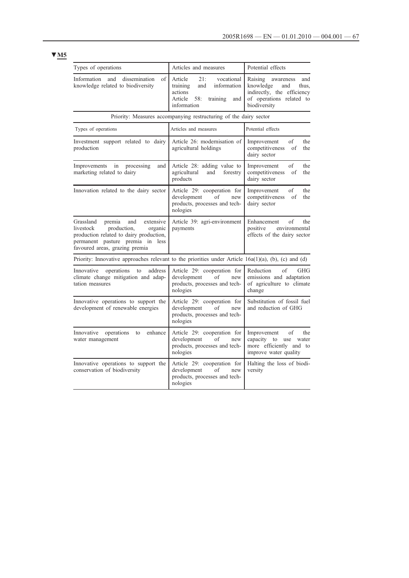# **▼M5**

| Types of operations                                                                                                                                                                                | Articles and measures                                                                                                         | Potential effects                                                                                                                  |
|----------------------------------------------------------------------------------------------------------------------------------------------------------------------------------------------------|-------------------------------------------------------------------------------------------------------------------------------|------------------------------------------------------------------------------------------------------------------------------------|
| of<br>Information<br>and<br>dissemination<br>knowledge related to biodiversity                                                                                                                     | 21:<br>vocational<br>Article<br>training<br>and<br>information<br>actions<br>Article<br>58:<br>training<br>and<br>information | Raising<br>and<br>awareness<br>knowledge<br>and<br>thus,<br>indirectly, the efficiency<br>of operations related to<br>biodiversity |
|                                                                                                                                                                                                    | Priority: Measures accompanying restructuring of the dairy sector                                                             |                                                                                                                                    |
| Types of operations                                                                                                                                                                                | Articles and measures                                                                                                         | Potential effects                                                                                                                  |
| Investment support related to dairy<br>production                                                                                                                                                  | Article 26: modernisation of<br>agricultural holdings                                                                         | of<br>the<br>Improvement<br>competitiveness<br>the<br>of<br>dairy sector                                                           |
| Improvements<br>in<br>processing<br>and<br>marketing related to dairy                                                                                                                              | Article 28: adding value to<br>agricultural<br>and<br>forestry<br>products                                                    | of<br>Improvement<br>the<br>competitiveness<br>the<br>οf<br>dairy sector                                                           |
| Innovation related to the dairy sector                                                                                                                                                             | Article 29: cooperation for<br>development<br>of<br>new<br>products, processes and tech-<br>nologies                          | of<br>the<br>Improvement<br>competitiveness<br>the<br>of<br>dairy sector                                                           |
| extensive<br>Grassland<br>premia<br>and<br>livestock<br>production,<br>organic<br>production related to dairy production,<br>permanent pasture premia in<br>less<br>favoured areas, grazing premia | Article 39: agri-environment<br>payments                                                                                      | of<br>Enhancement<br>the<br>positive<br>environmental<br>effects of the dairy sector                                               |
| Priority: Innovative approaches relevant to the priorities under Article $16a(1)(a)$ , (b), (c) and (d)                                                                                            |                                                                                                                               |                                                                                                                                    |
| Innovative<br>operations<br>to<br>address<br>climate change mitigation and adap-<br>tation measures                                                                                                | Article 29: cooperation for<br>development<br>of<br>new<br>products, processes and tech-<br>nologies                          | $\mathrm{of}$<br>Reduction<br><b>GHG</b><br>emissions and adaptation<br>of agriculture to climate<br>change                        |
| Innovative operations to support the<br>development of renewable energies                                                                                                                          | Article 29: cooperation for<br>development<br>of<br>new<br>products, processes and tech-<br>nologies                          | Substitution of fossil fuel<br>and reduction of GHG                                                                                |
| enhance<br>Innovative<br>operations<br>to<br>water management                                                                                                                                      | Article 29: cooperation for<br>development<br>οf<br>new<br>products, processes and tech-<br>nologies                          | of<br>Improvement<br>the<br>capacity to use<br>water<br>more efficiently and to<br>improve water quality                           |
| Innovative operations to support the<br>conservation of biodiversity                                                                                                                               | Article 29: cooperation for<br>development<br>new<br>of<br>products, processes and tech-<br>nologies                          | Halting the loss of biodi-<br>versity                                                                                              |